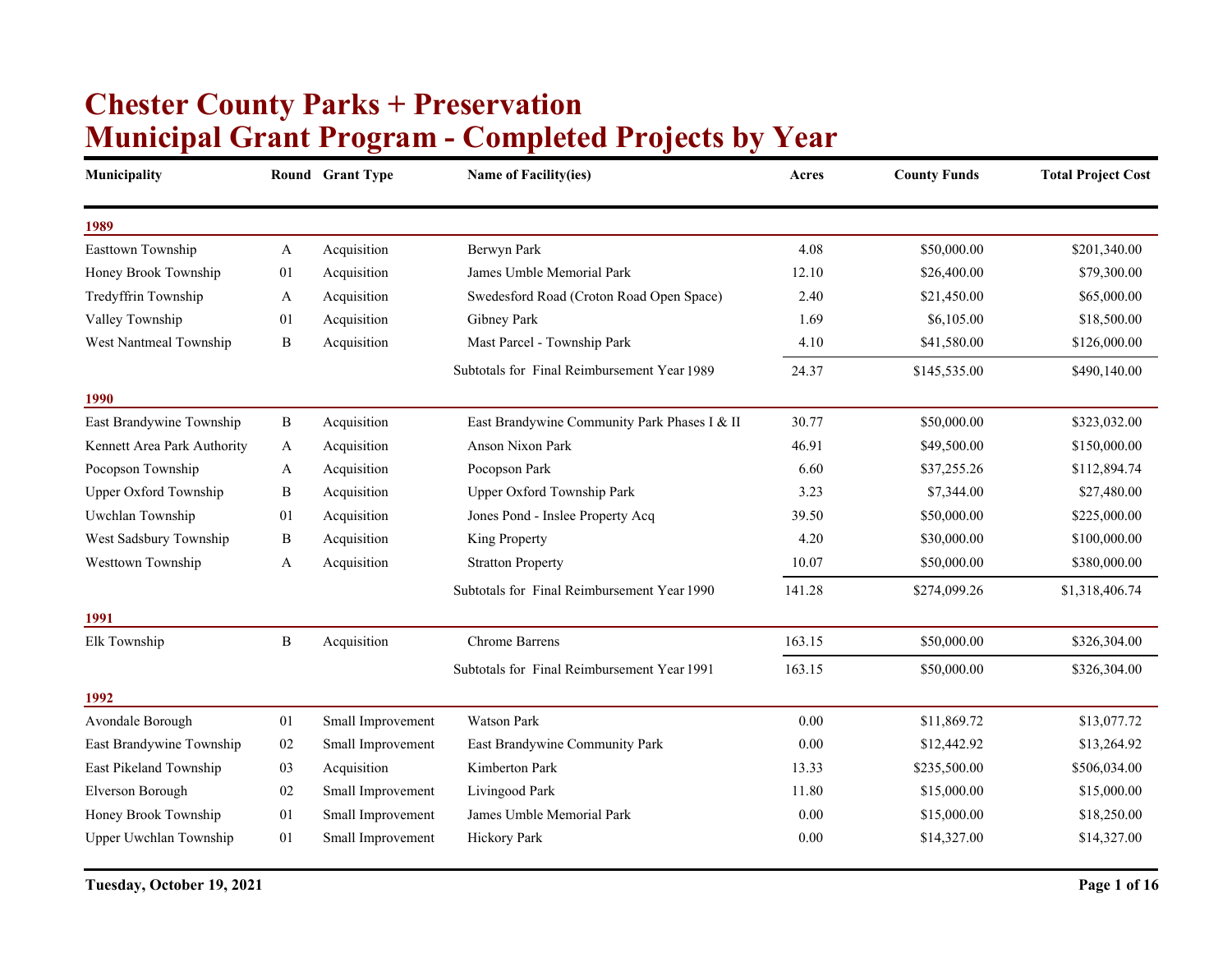## **Municipal Grant Program - Completed Projects by Year Chester County Parks + Preservation**

| Municipality                |              | Round Grant Type  | <b>Name of Facility(ies)</b>                 | Acres  | <b>County Funds</b> | <b>Total Project Cost</b> |
|-----------------------------|--------------|-------------------|----------------------------------------------|--------|---------------------|---------------------------|
| 1989                        |              |                   |                                              |        |                     |                           |
| Easttown Township           | A            | Acquisition       | Berwyn Park                                  | 4.08   | \$50,000.00         | \$201,340.00              |
| Honey Brook Township        | 01           | Acquisition       | James Umble Memorial Park                    | 12.10  | \$26,400.00         | \$79,300.00               |
| Tredyffrin Township         | A            | Acquisition       | Swedesford Road (Croton Road Open Space)     | 2.40   | \$21,450.00         | \$65,000.00               |
| Valley Township             | 01           | Acquisition       | Gibney Park                                  | 1.69   | \$6,105.00          | \$18,500.00               |
| West Nantmeal Township      | B            | Acquisition       | Mast Parcel - Township Park                  | 4.10   | \$41,580.00         | \$126,000.00              |
|                             |              |                   | Subtotals for Final Reimbursement Year 1989  | 24.37  | \$145,535.00        | \$490,140.00              |
| 1990                        |              |                   |                                              |        |                     |                           |
| East Brandywine Township    | B            | Acquisition       | East Brandywine Community Park Phases I & II | 30.77  | \$50,000.00         | \$323,032.00              |
| Kennett Area Park Authority | A            | Acquisition       | Anson Nixon Park                             | 46.91  | \$49,500.00         | \$150,000.00              |
| Pocopson Township           | A            | Acquisition       | Pocopson Park                                | 6.60   | \$37,255.26         | \$112,894.74              |
| Upper Oxford Township       | B            | Acquisition       | Upper Oxford Township Park                   | 3.23   | \$7,344.00          | \$27,480.00               |
| Uwchlan Township            | 01           | Acquisition       | Jones Pond - Inslee Property Acq             | 39.50  | \$50,000.00         | \$225,000.00              |
| West Sadsbury Township      | B            | Acquisition       | King Property                                | 4.20   | \$30,000.00         | \$100,000.00              |
| Westtown Township           | A            | Acquisition       | <b>Stratton Property</b>                     | 10.07  | \$50,000.00         | \$380,000.00              |
|                             |              |                   | Subtotals for Final Reimbursement Year 1990  | 141.28 | \$274,099.26        | \$1,318,406.74            |
| 1991                        |              |                   |                                              |        |                     |                           |
| Elk Township                | $\, {\bf B}$ | Acquisition       | <b>Chrome Barrens</b>                        | 163.15 | \$50,000.00         | \$326,304.00              |
|                             |              |                   | Subtotals for Final Reimbursement Year 1991  | 163.15 | \$50,000.00         | \$326,304.00              |
| 1992                        |              |                   |                                              |        |                     |                           |
| Avondale Borough            | 01           | Small Improvement | <b>Watson Park</b>                           | 0.00   | \$11,869.72         | \$13,077.72               |
| East Brandywine Township    | 02           | Small Improvement | East Brandywine Community Park               | 0.00   | \$12,442.92         | \$13,264.92               |
| East Pikeland Township      | 03           | Acquisition       | Kimberton Park                               | 13.33  | \$235,500.00        | \$506,034.00              |
| Elverson Borough            | 02           | Small Improvement | Livingood Park                               | 11.80  | \$15,000.00         | \$15,000.00               |
| Honey Brook Township        | 01           | Small Improvement | James Umble Memorial Park                    | 0.00   | \$15,000.00         | \$18,250.00               |
| Upper Uwchlan Township      | 01           | Small Improvement | Hickory Park                                 | 0.00   | \$14,327.00         | \$14,327.00               |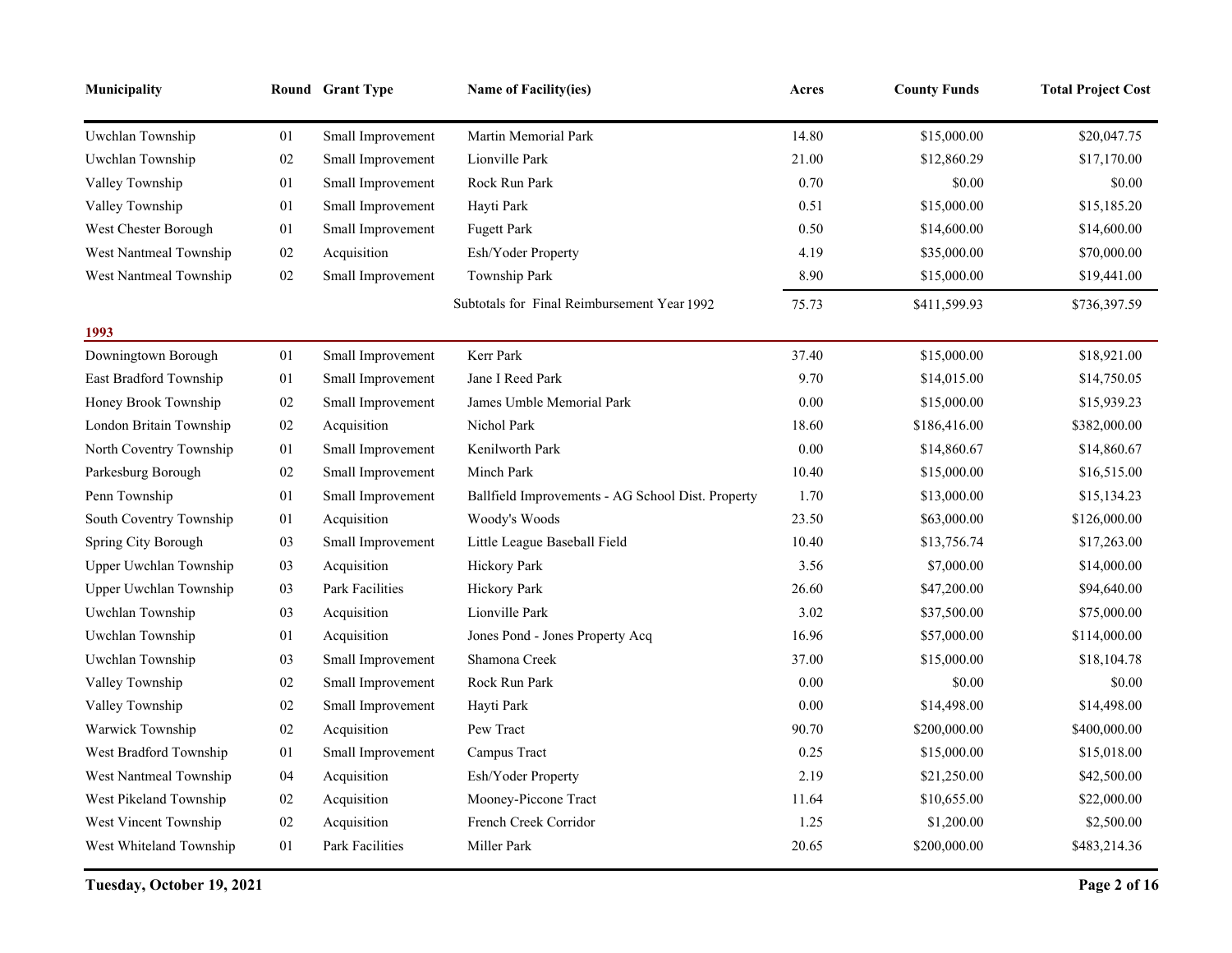| Municipality            |        | Round Grant Type  | Name of Facility(ies)                             | Acres    | <b>County Funds</b> | <b>Total Project Cost</b> |
|-------------------------|--------|-------------------|---------------------------------------------------|----------|---------------------|---------------------------|
| Uwchlan Township        | 01     | Small Improvement | Martin Memorial Park                              | 14.80    | \$15,000.00         | \$20,047.75               |
| Uwchlan Township        | $02\,$ | Small Improvement | Lionville Park                                    | 21.00    | \$12,860.29         | \$17,170.00               |
| Valley Township         | 01     | Small Improvement | Rock Run Park                                     | 0.70     | \$0.00              | \$0.00                    |
| Valley Township         | 01     | Small Improvement | Hayti Park                                        | 0.51     | \$15,000.00         | \$15,185.20               |
| West Chester Borough    | 01     | Small Improvement | <b>Fugett Park</b>                                | 0.50     | \$14,600.00         | \$14,600.00               |
| West Nantmeal Township  | $02\,$ | Acquisition       | Esh/Yoder Property                                | 4.19     | \$35,000.00         | \$70,000.00               |
| West Nantmeal Township  | $02\,$ | Small Improvement | Township Park                                     | 8.90     | \$15,000.00         | \$19,441.00               |
|                         |        |                   | Subtotals for Final Reimbursement Year 1992       | 75.73    | \$411,599.93        | \$736,397.59              |
| 1993                    |        |                   |                                                   |          |                     |                           |
| Downingtown Borough     | 01     | Small Improvement | Kerr Park                                         | 37.40    | \$15,000.00         | \$18,921.00               |
| East Bradford Township  | 01     | Small Improvement | Jane I Reed Park                                  | 9.70     | \$14,015.00         | \$14,750.05               |
| Honey Brook Township    | $02\,$ | Small Improvement | James Umble Memorial Park                         | 0.00     | \$15,000.00         | \$15,939.23               |
| London Britain Township | $02\,$ | Acquisition       | Nichol Park                                       | 18.60    | \$186,416.00        | \$382,000.00              |
| North Coventry Township | 01     | Small Improvement | Kenilworth Park                                   | 0.00     | \$14,860.67         | \$14,860.67               |
| Parkesburg Borough      | $02\,$ | Small Improvement | Minch Park                                        | 10.40    | \$15,000.00         | \$16,515.00               |
| Penn Township           | 01     | Small Improvement | Ballfield Improvements - AG School Dist. Property | 1.70     | \$13,000.00         | \$15,134.23               |
| South Coventry Township | 01     | Acquisition       | Woody's Woods                                     | 23.50    | \$63,000.00         | \$126,000.00              |
| Spring City Borough     | 03     | Small Improvement | Little League Baseball Field                      | 10.40    | \$13,756.74         | \$17,263.00               |
| Upper Uwchlan Township  | 03     | Acquisition       | Hickory Park                                      | 3.56     | \$7,000.00          | \$14,000.00               |
| Upper Uwchlan Township  | 03     | Park Facilities   | Hickory Park                                      | 26.60    | \$47,200.00         | \$94,640.00               |
| Uwchlan Township        | 03     | Acquisition       | Lionville Park                                    | 3.02     | \$37,500.00         | \$75,000.00               |
| Uwchlan Township        | 01     | Acquisition       | Jones Pond - Jones Property Acq                   | 16.96    | \$57,000.00         | \$114,000.00              |
| Uwchlan Township        | 03     | Small Improvement | Shamona Creek                                     | 37.00    | \$15,000.00         | \$18,104.78               |
| Valley Township         | $02\,$ | Small Improvement | Rock Run Park                                     | 0.00     | \$0.00              | \$0.00                    |
| Valley Township         | $02\,$ | Small Improvement | Hayti Park                                        | $0.00\,$ | \$14,498.00         | \$14,498.00               |
| Warwick Township        | 02     | Acquisition       | Pew Tract                                         | 90.70    | \$200,000.00        | \$400,000.00              |
| West Bradford Township  | 01     | Small Improvement | Campus Tract                                      | 0.25     | \$15,000.00         | \$15,018.00               |
| West Nantmeal Township  | 04     | Acquisition       | Esh/Yoder Property                                | 2.19     | \$21,250.00         | \$42,500.00               |
| West Pikeland Township  | $02\,$ | Acquisition       | Mooney-Piccone Tract                              | 11.64    | \$10,655.00         | \$22,000.00               |
| West Vincent Township   | $02\,$ | Acquisition       | French Creek Corridor                             | 1.25     | \$1,200.00          | \$2,500.00                |
| West Whiteland Township | 01     | Park Facilities   | Miller Park                                       | 20.65    | \$200,000.00        | \$483,214.36              |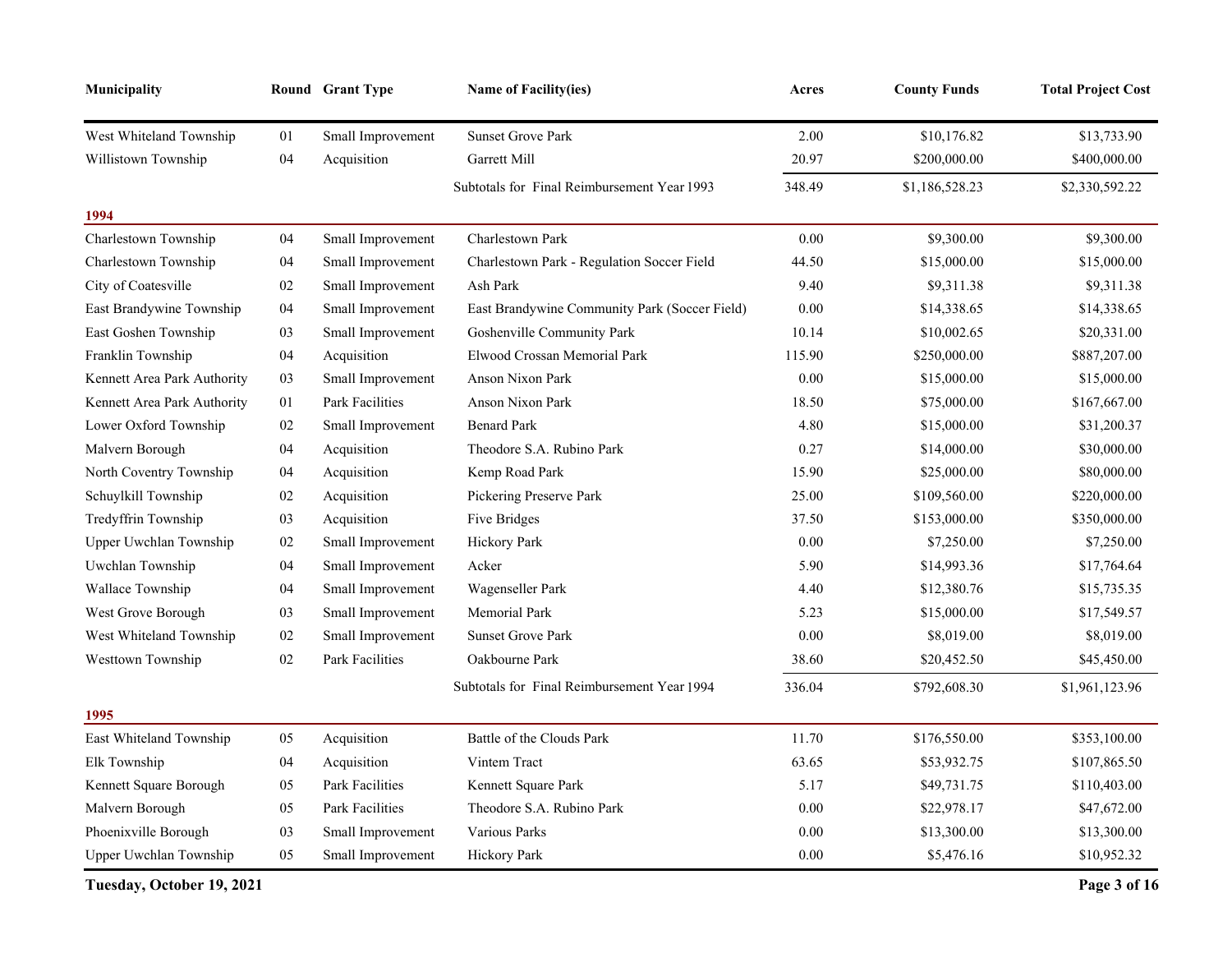| Municipality                |        | Round Grant Type       | <b>Name of Facility(ies)</b>                  | Acres    | <b>County Funds</b> | <b>Total Project Cost</b> |
|-----------------------------|--------|------------------------|-----------------------------------------------|----------|---------------------|---------------------------|
| West Whiteland Township     | 01     | Small Improvement      | <b>Sunset Grove Park</b>                      | 2.00     | \$10,176.82         | \$13,733.90               |
| Willistown Township         | 04     | Acquisition            | Garrett Mill                                  | 20.97    | \$200,000.00        | \$400,000.00              |
| 1994                        |        |                        | Subtotals for Final Reimbursement Year 1993   | 348.49   | \$1,186,528.23      | \$2,330,592.22            |
| Charlestown Township        | 04     | Small Improvement      | Charlestown Park                              | 0.00     | \$9,300.00          | \$9,300.00                |
| Charlestown Township        | 04     | Small Improvement      | Charlestown Park - Regulation Soccer Field    | 44.50    | \$15,000.00         | \$15,000.00               |
| City of Coatesville         | 02     | Small Improvement      | Ash Park                                      | 9.40     | \$9,311.38          | \$9,311.38                |
| East Brandywine Township    | 04     | Small Improvement      | East Brandywine Community Park (Soccer Field) | 0.00     | \$14,338.65         | \$14,338.65               |
| East Goshen Township        | 03     | Small Improvement      | Goshenville Community Park                    | 10.14    | \$10,002.65         | \$20,331.00               |
| Franklin Township           | 04     | Acquisition            | Elwood Crossan Memorial Park                  | 115.90   | \$250,000.00        | \$887,207.00              |
| Kennett Area Park Authority | 03     | Small Improvement      | Anson Nixon Park                              | $0.00\,$ | \$15,000.00         | \$15,000.00               |
| Kennett Area Park Authority | $01\,$ | Park Facilities        | Anson Nixon Park                              | 18.50    | \$75,000.00         | \$167,667.00              |
| Lower Oxford Township       | 02     | Small Improvement      | <b>Benard Park</b>                            | 4.80     | \$15,000.00         | \$31,200.37               |
| Malvern Borough             | 04     | Acquisition            | Theodore S.A. Rubino Park                     | 0.27     | \$14,000.00         | \$30,000.00               |
| North Coventry Township     | 04     | Acquisition            | Kemp Road Park                                | 15.90    | \$25,000.00         | \$80,000.00               |
| Schuylkill Township         | 02     | Acquisition            | Pickering Preserve Park                       | 25.00    | \$109,560.00        | \$220,000.00              |
| Tredyffrin Township         | 03     | Acquisition            | Five Bridges                                  | 37.50    | \$153,000.00        | \$350,000.00              |
| Upper Uwchlan Township      | 02     | Small Improvement      | Hickory Park                                  | 0.00     | \$7,250.00          | \$7,250.00                |
| Uwchlan Township            | 04     | Small Improvement      | Acker                                         | 5.90     | \$14,993.36         | \$17,764.64               |
| Wallace Township            | 04     | Small Improvement      | Wagenseller Park                              | 4.40     | \$12,380.76         | \$15,735.35               |
| West Grove Borough          | 03     | Small Improvement      | Memorial Park                                 | 5.23     | \$15,000.00         | \$17,549.57               |
| West Whiteland Township     | 02     | Small Improvement      | <b>Sunset Grove Park</b>                      | 0.00     | \$8,019.00          | \$8,019.00                |
| Westtown Township           | 02     | <b>Park Facilities</b> | Oakbourne Park                                | 38.60    | \$20,452.50         | \$45,450.00               |
|                             |        |                        | Subtotals for Final Reimbursement Year 1994   | 336.04   | \$792,608.30        | \$1,961,123.96            |
| 1995                        |        |                        |                                               |          |                     |                           |
| East Whiteland Township     | 05     | Acquisition            | Battle of the Clouds Park                     | 11.70    | \$176,550.00        | \$353,100.00              |
| Elk Township                | 04     | Acquisition            | Vintem Tract                                  | 63.65    | \$53,932.75         | \$107,865.50              |
| Kennett Square Borough      | 05     | Park Facilities        | Kennett Square Park                           | 5.17     | \$49,731.75         | \$110,403.00              |
| Malvern Borough             | 05     | Park Facilities        | Theodore S.A. Rubino Park                     | 0.00     | \$22,978.17         | \$47,672.00               |
| Phoenixville Borough        | 03     | Small Improvement      | Various Parks                                 | 0.00     | \$13,300.00         | \$13,300.00               |
| Upper Uwchlan Township      | 05     | Small Improvement      | Hickory Park                                  | 0.00     | \$5,476.16          | \$10,952.32               |

**Tuesday, October 19, 2021 Page 3 of 16**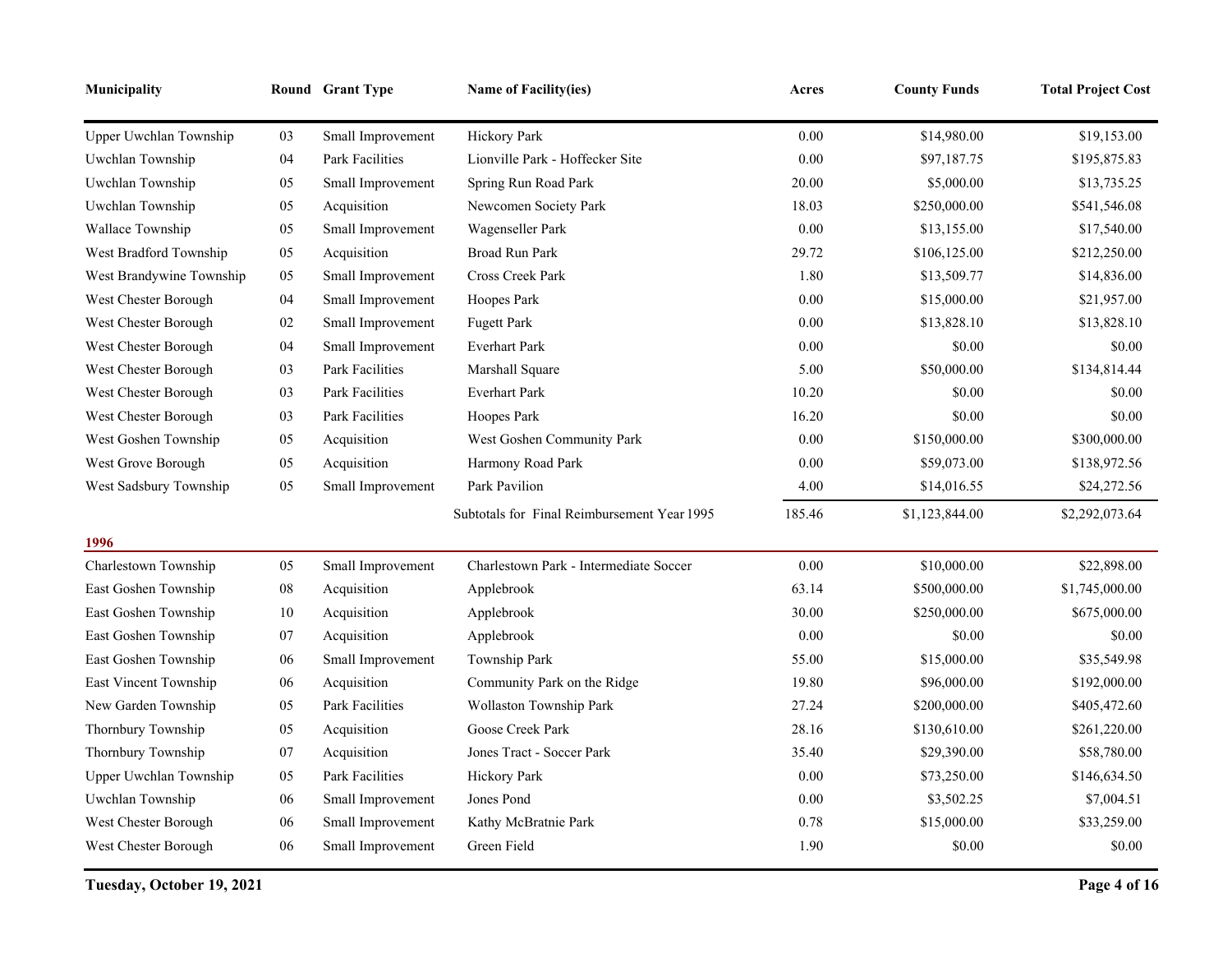| Municipality             |            | Round Grant Type       | <b>Name of Facility(ies)</b>                | Acres    | <b>County Funds</b> | <b>Total Project Cost</b> |
|--------------------------|------------|------------------------|---------------------------------------------|----------|---------------------|---------------------------|
| Upper Uwchlan Township   | 03         | Small Improvement      | Hickory Park                                | $0.00\,$ | \$14,980.00         | \$19,153.00               |
| Uwchlan Township         | 04         | <b>Park Facilities</b> | Lionville Park - Hoffecker Site             | $0.00\,$ | \$97,187.75         | \$195,875.83              |
| Uwchlan Township         | 05         | Small Improvement      | Spring Run Road Park                        | 20.00    | \$5,000.00          | \$13,735.25               |
| Uwchlan Township         | 05         | Acquisition            | Newcomen Society Park                       | 18.03    | \$250,000.00        | \$541,546.08              |
| Wallace Township         | $05\,$     | Small Improvement      | Wagenseller Park                            | 0.00     | \$13,155.00         | \$17,540.00               |
| West Bradford Township   | 05         | Acquisition            | <b>Broad Run Park</b>                       | 29.72    | \$106,125.00        | \$212,250.00              |
| West Brandywine Township | 05         | Small Improvement      | Cross Creek Park                            | 1.80     | \$13,509.77         | \$14,836.00               |
| West Chester Borough     | 04         | Small Improvement      | Hoopes Park                                 | 0.00     | \$15,000.00         | \$21,957.00               |
| West Chester Borough     | $02\,$     | Small Improvement      | <b>Fugett Park</b>                          | 0.00     | \$13,828.10         | \$13,828.10               |
| West Chester Borough     | 04         | Small Improvement      | <b>Everhart Park</b>                        | 0.00     | \$0.00              | \$0.00                    |
| West Chester Borough     | 03         | <b>Park Facilities</b> | Marshall Square                             | 5.00     | \$50,000.00         | \$134,814.44              |
| West Chester Borough     | 03         | Park Facilities        | <b>Everhart Park</b>                        | 10.20    | \$0.00              | \$0.00                    |
| West Chester Borough     | 03         | Park Facilities        | Hoopes Park                                 | 16.20    | \$0.00              | \$0.00                    |
| West Goshen Township     | 05         | Acquisition            | West Goshen Community Park                  | 0.00     | \$150,000.00        | \$300,000.00              |
| West Grove Borough       | 05         | Acquisition            | Harmony Road Park                           | 0.00     | \$59,073.00         | \$138,972.56              |
| West Sadsbury Township   | 05         | Small Improvement      | Park Pavilion                               | 4.00     | \$14,016.55         | \$24,272.56               |
|                          |            |                        | Subtotals for Final Reimbursement Year 1995 | 185.46   | \$1,123,844.00      | \$2,292,073.64            |
| 1996                     |            |                        |                                             |          |                     |                           |
| Charlestown Township     | 05         | Small Improvement      | Charlestown Park - Intermediate Soccer      | $0.00\,$ | \$10,000.00         | \$22,898.00               |
| East Goshen Township     | ${\bf 08}$ | Acquisition            | Applebrook                                  | 63.14    | \$500,000.00        | \$1,745,000.00            |
| East Goshen Township     | 10         | Acquisition            | Applebrook                                  | 30.00    | \$250,000.00        | \$675,000.00              |
| East Goshen Township     | 07         | Acquisition            | Applebrook                                  | 0.00     | \$0.00              | \$0.00                    |
| East Goshen Township     | 06         | Small Improvement      | Township Park                               | 55.00    | \$15,000.00         | \$35,549.98               |
| East Vincent Township    | 06         | Acquisition            | Community Park on the Ridge                 | 19.80    | \$96,000.00         | \$192,000.00              |
| New Garden Township      | 05         | Park Facilities        | Wollaston Township Park                     | 27.24    | \$200,000.00        | \$405,472.60              |
| Thornbury Township       | 05         | Acquisition            | Goose Creek Park                            | 28.16    | \$130,610.00        | \$261,220.00              |
| Thornbury Township       | 07         | Acquisition            | Jones Tract - Soccer Park                   | 35.40    | \$29,390.00         | \$58,780.00               |
| Upper Uwchlan Township   | 05         | Park Facilities        | Hickory Park                                | 0.00     | \$73,250.00         | \$146,634.50              |
| Uwchlan Township         | 06         | Small Improvement      | Jones Pond                                  | 0.00     | \$3,502.25          | \$7,004.51                |
| West Chester Borough     | $06\,$     | Small Improvement      | Kathy McBratnie Park                        | 0.78     | \$15,000.00         | \$33,259.00               |
| West Chester Borough     | 06         | Small Improvement      | Green Field                                 | 1.90     | \$0.00              | \$0.00                    |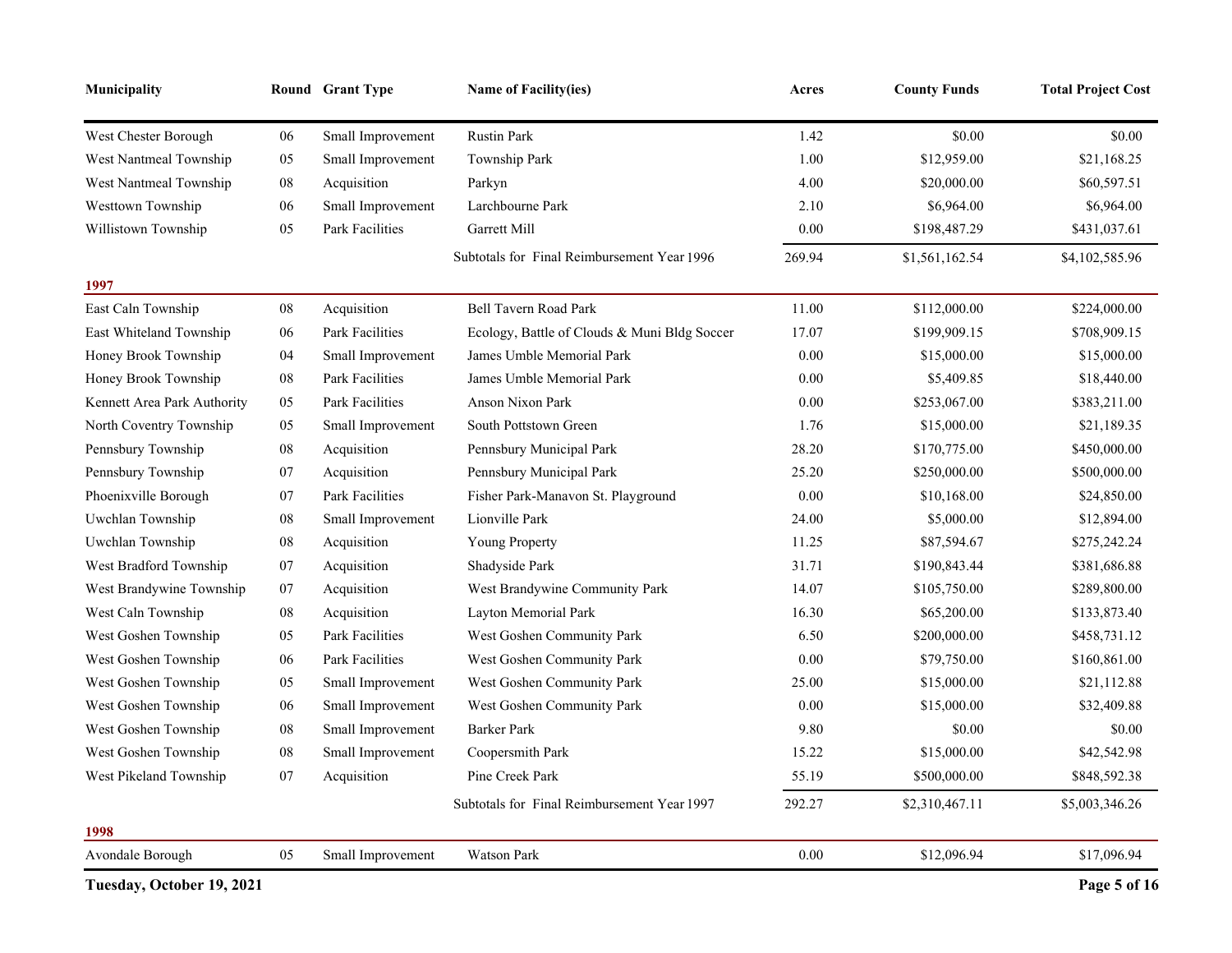| <b>Municipality</b>         |            | Round Grant Type  | <b>Name of Facility(ies)</b>                 | Acres    | <b>County Funds</b> | <b>Total Project Cost</b> |
|-----------------------------|------------|-------------------|----------------------------------------------|----------|---------------------|---------------------------|
| West Chester Borough        | 06         | Small Improvement | <b>Rustin Park</b>                           | 1.42     | \$0.00              | \$0.00                    |
| West Nantmeal Township      | 05         | Small Improvement | Township Park                                | 1.00     | \$12,959.00         | \$21,168.25               |
| West Nantmeal Township      | 08         | Acquisition       | Parkyn                                       | 4.00     | \$20,000.00         | \$60,597.51               |
| Westtown Township           | 06         | Small Improvement | Larchbourne Park                             | 2.10     | \$6,964.00          | \$6,964.00                |
| Willistown Township         | 05         | Park Facilities   | Garrett Mill                                 | 0.00     | \$198,487.29        | \$431,037.61              |
|                             |            |                   | Subtotals for Final Reimbursement Year 1996  | 269.94   | \$1,561,162.54      | \$4,102,585.96            |
| 1997                        |            |                   |                                              |          |                     |                           |
| East Caln Township          | ${\bf 08}$ | Acquisition       | Bell Tavern Road Park                        | 11.00    | \$112,000.00        | \$224,000.00              |
| East Whiteland Township     | 06         | Park Facilities   | Ecology, Battle of Clouds & Muni Bldg Soccer | 17.07    | \$199,909.15        | \$708,909.15              |
| Honey Brook Township        | 04         | Small Improvement | James Umble Memorial Park                    | 0.00     | \$15,000.00         | \$15,000.00               |
| Honey Brook Township        | ${\bf 08}$ | Park Facilities   | James Umble Memorial Park                    | 0.00     | \$5,409.85          | \$18,440.00               |
| Kennett Area Park Authority | 05         | Park Facilities   | Anson Nixon Park                             | 0.00     | \$253,067.00        | \$383,211.00              |
| North Coventry Township     | 05         | Small Improvement | South Pottstown Green                        | 1.76     | \$15,000.00         | \$21,189.35               |
| Pennsbury Township          | ${\bf 08}$ | Acquisition       | Pennsbury Municipal Park                     | 28.20    | \$170,775.00        | \$450,000.00              |
| Pennsbury Township          | 07         | Acquisition       | Pennsbury Municipal Park                     | 25.20    | \$250,000.00        | \$500,000.00              |
| Phoenixville Borough        | 07         | Park Facilities   | Fisher Park-Manavon St. Playground           | 0.00     | \$10,168.00         | \$24,850.00               |
| Uwchlan Township            | 08         | Small Improvement | Lionville Park                               | 24.00    | \$5,000.00          | \$12,894.00               |
| Uwchlan Township            | ${\bf 08}$ | Acquisition       | Young Property                               | 11.25    | \$87,594.67         | \$275,242.24              |
| West Bradford Township      | 07         | Acquisition       | Shadyside Park                               | 31.71    | \$190,843.44        | \$381,686.88              |
| West Brandywine Township    | $07\,$     | Acquisition       | West Brandywine Community Park               | 14.07    | \$105,750.00        | \$289,800.00              |
| West Caln Township          | ${\bf 08}$ | Acquisition       | Layton Memorial Park                         | 16.30    | \$65,200.00         | \$133,873.40              |
| West Goshen Township        | 05         | Park Facilities   | West Goshen Community Park                   | 6.50     | \$200,000.00        | \$458,731.12              |
| West Goshen Township        | 06         | Park Facilities   | West Goshen Community Park                   | 0.00     | \$79,750.00         | \$160,861.00              |
| West Goshen Township        | 05         | Small Improvement | West Goshen Community Park                   | 25.00    | \$15,000.00         | \$21,112.88               |
| West Goshen Township        | 06         | Small Improvement | West Goshen Community Park                   | 0.00     | \$15,000.00         | \$32,409.88               |
| West Goshen Township        | 08         | Small Improvement | <b>Barker Park</b>                           | 9.80     | \$0.00              | \$0.00                    |
| West Goshen Township        | ${\bf 08}$ | Small Improvement | Coopersmith Park                             | 15.22    | \$15,000.00         | \$42,542.98               |
| West Pikeland Township      | 07         | Acquisition       | Pine Creek Park                              | 55.19    | \$500,000.00        | \$848,592.38              |
|                             |            |                   | Subtotals for Final Reimbursement Year 1997  | 292.27   | \$2,310,467.11      | \$5,003,346.26            |
| 1998                        |            |                   |                                              |          |                     |                           |
| Avondale Borough            | 05         | Small Improvement | Watson Park                                  | $0.00\,$ | \$12,096.94         | \$17,096.94               |
| Tuesday, October 19, 2021   |            |                   |                                              |          |                     | Page 5 of 16              |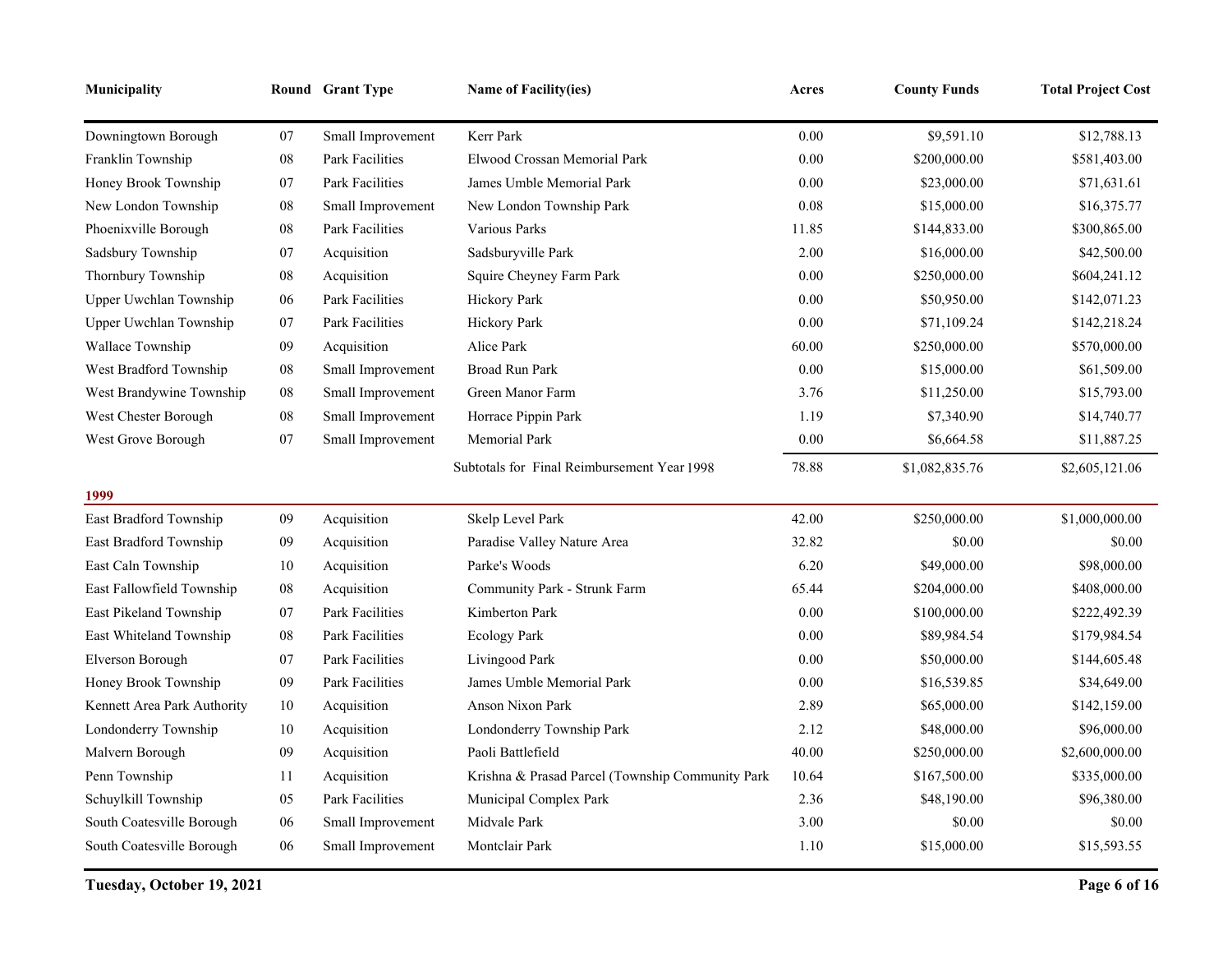| Municipality                |            | Round Grant Type       | <b>Name of Facility(ies)</b>                     | Acres | <b>County Funds</b> | <b>Total Project Cost</b> |
|-----------------------------|------------|------------------------|--------------------------------------------------|-------|---------------------|---------------------------|
| Downingtown Borough         | 07         | Small Improvement      | Kerr Park                                        | 0.00  | \$9,591.10          | \$12,788.13               |
| Franklin Township           | ${\bf 08}$ | <b>Park Facilities</b> | Elwood Crossan Memorial Park                     | 0.00  | \$200,000.00        | \$581,403.00              |
| Honey Brook Township        | $07\,$     | <b>Park Facilities</b> | James Umble Memorial Park                        | 0.00  | \$23,000.00         | \$71,631.61               |
| New London Township         | ${\bf 08}$ | Small Improvement      | New London Township Park                         | 0.08  | \$15,000.00         | \$16,375.77               |
| Phoenixville Borough        | ${\bf 08}$ | Park Facilities        | Various Parks                                    | 11.85 | \$144,833.00        | \$300,865.00              |
| Sadsbury Township           | $07\,$     | Acquisition            | Sadsburyville Park                               | 2.00  | \$16,000.00         | \$42,500.00               |
| Thornbury Township          | ${\bf 08}$ | Acquisition            | Squire Cheyney Farm Park                         | 0.00  | \$250,000.00        | \$604,241.12              |
| Upper Uwchlan Township      | 06         | Park Facilities        | Hickory Park                                     | 0.00  | \$50,950.00         | \$142,071.23              |
| Upper Uwchlan Township      | $07\,$     | <b>Park Facilities</b> | Hickory Park                                     | 0.00  | \$71,109.24         | \$142,218.24              |
| Wallace Township            | 09         | Acquisition            | Alice Park                                       | 60.00 | \$250,000.00        | \$570,000.00              |
| West Bradford Township      | ${\bf 08}$ | Small Improvement      | Broad Run Park                                   | 0.00  | \$15,000.00         | \$61,509.00               |
| West Brandywine Township    | ${\bf 08}$ | Small Improvement      | Green Manor Farm                                 | 3.76  | \$11,250.00         | \$15,793.00               |
| West Chester Borough        | ${\bf 08}$ | Small Improvement      | Horrace Pippin Park                              | 1.19  | \$7,340.90          | \$14,740.77               |
| West Grove Borough          | $07\,$     | Small Improvement      | <b>Memorial Park</b>                             | 0.00  | \$6,664.58          | \$11,887.25               |
|                             |            |                        | Subtotals for Final Reimbursement Year 1998      | 78.88 | \$1,082,835.76      | \$2,605,121.06            |
| 1999                        |            |                        |                                                  |       |                     |                           |
| East Bradford Township      | 09         | Acquisition            | Skelp Level Park                                 | 42.00 | \$250,000.00        | \$1,000,000.00            |
| East Bradford Township      | 09         | Acquisition            | Paradise Valley Nature Area                      | 32.82 | \$0.00              | \$0.00                    |
| East Caln Township          | 10         | Acquisition            | Parke's Woods                                    | 6.20  | \$49,000.00         | \$98,000.00               |
| East Fallowfield Township   | ${\bf 08}$ | Acquisition            | Community Park - Strunk Farm                     | 65.44 | \$204,000.00        | \$408,000.00              |
| East Pikeland Township      | 07         | Park Facilities        | Kimberton Park                                   | 0.00  | \$100,000.00        | \$222,492.39              |
| East Whiteland Township     | ${\bf 08}$ | <b>Park Facilities</b> | <b>Ecology Park</b>                              | 0.00  | \$89,984.54         | \$179,984.54              |
| Elverson Borough            | $07\,$     | Park Facilities        | Livingood Park                                   | 0.00  | \$50,000.00         | \$144,605.48              |
| Honey Brook Township        | 09         | Park Facilities        | James Umble Memorial Park                        | 0.00  | \$16,539.85         | \$34,649.00               |
| Kennett Area Park Authority | 10         | Acquisition            | Anson Nixon Park                                 | 2.89  | \$65,000.00         | \$142,159.00              |
| Londonderry Township        | 10         | Acquisition            | Londonderry Township Park                        | 2.12  | \$48,000.00         | \$96,000.00               |
| Malvern Borough             | 09         | Acquisition            | Paoli Battlefield                                | 40.00 | \$250,000.00        | \$2,600,000.00            |
| Penn Township               | 11         | Acquisition            | Krishna & Prasad Parcel (Township Community Park | 10.64 | \$167,500.00        | \$335,000.00              |
| Schuylkill Township         | 05         | Park Facilities        | Municipal Complex Park                           | 2.36  | \$48,190.00         | \$96,380.00               |
| South Coatesville Borough   | 06         | Small Improvement      | Midvale Park                                     | 3.00  | \$0.00              | \$0.00                    |
| South Coatesville Borough   | 06         | Small Improvement      | Montclair Park                                   | 1.10  | \$15,000.00         | \$15,593.55               |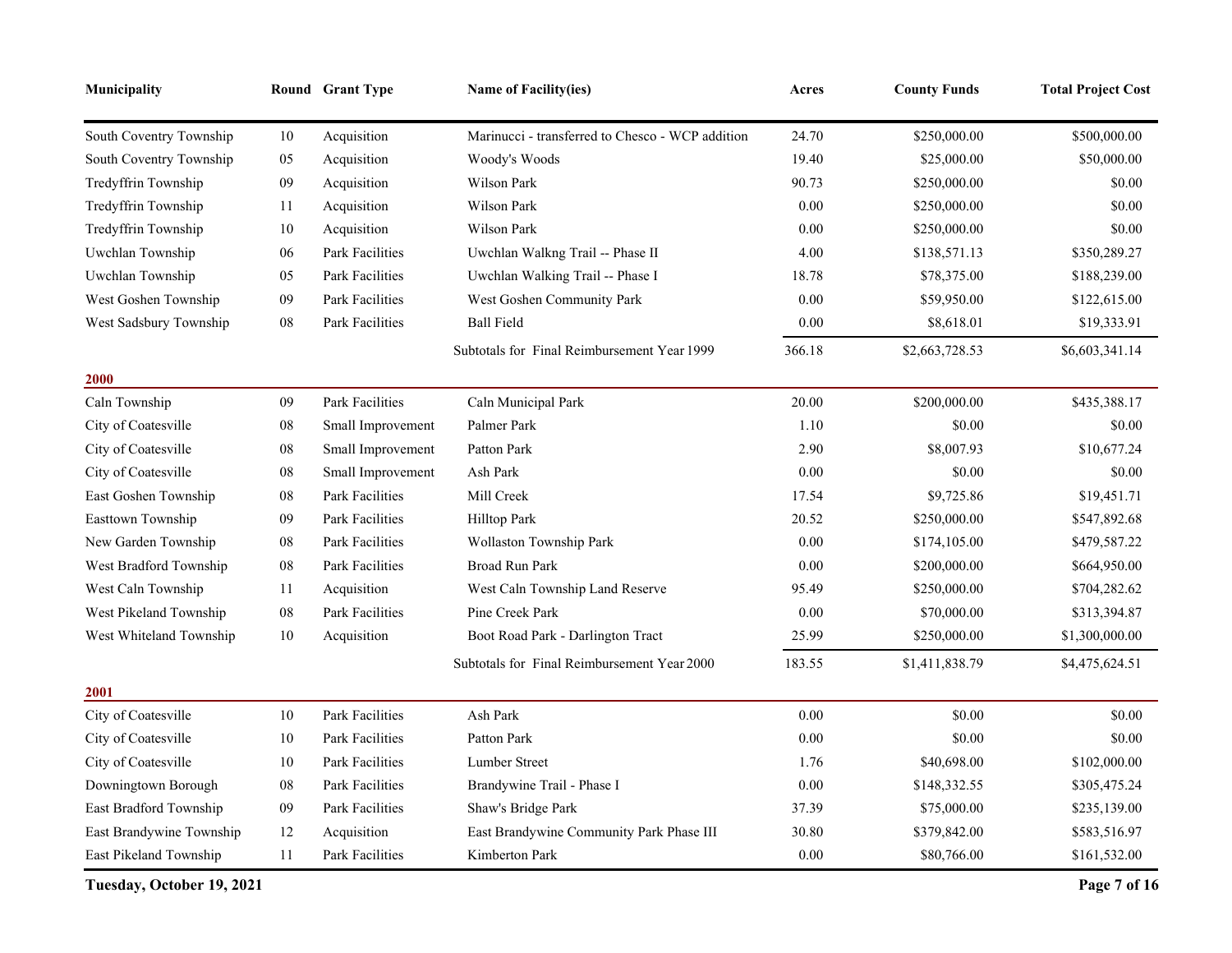| <b>Municipality</b>      |            | Round Grant Type       | <b>Name of Facility(ies)</b>                     | Acres    | <b>County Funds</b> | <b>Total Project Cost</b> |
|--------------------------|------------|------------------------|--------------------------------------------------|----------|---------------------|---------------------------|
| South Coventry Township  | 10         | Acquisition            | Marinucci - transferred to Chesco - WCP addition | 24.70    | \$250,000.00        | \$500,000.00              |
| South Coventry Township  | 05         | Acquisition            | Woody's Woods                                    | 19.40    | \$25,000.00         | \$50,000.00               |
| Tredyffrin Township      | 09         | Acquisition            | Wilson Park                                      | 90.73    | \$250,000.00        | \$0.00                    |
| Tredyffrin Township      | 11         | Acquisition            | <b>Wilson Park</b>                               | $0.00\,$ | \$250,000.00        | \$0.00                    |
| Tredyffrin Township      | $10\,$     | Acquisition            | <b>Wilson Park</b>                               | 0.00     | \$250,000.00        | \$0.00                    |
| Uwchlan Township         | 06         | Park Facilities        | Uwchlan Walkng Trail -- Phase II                 | 4.00     | \$138,571.13        | \$350,289.27              |
| Uwchlan Township         | 05         | Park Facilities        | Uwchlan Walking Trail -- Phase I                 | 18.78    | \$78,375.00         | \$188,239.00              |
| West Goshen Township     | 09         | Park Facilities        | West Goshen Community Park                       | 0.00     | \$59,950.00         | \$122,615.00              |
| West Sadsbury Township   | ${\bf 08}$ | Park Facilities        | <b>Ball Field</b>                                | 0.00     | \$8,618.01          | \$19,333.91               |
|                          |            |                        | Subtotals for Final Reimbursement Year 1999      | 366.18   | \$2,663,728.53      | \$6,603,341.14            |
| <b>2000</b>              |            |                        |                                                  |          |                     |                           |
| Caln Township            | 09         | <b>Park Facilities</b> | Caln Municipal Park                              | 20.00    | \$200,000.00        | \$435,388.17              |
| City of Coatesville      | 08         | Small Improvement      | Palmer Park                                      | 1.10     | \$0.00              | \$0.00                    |
| City of Coatesville      | 08         | Small Improvement      | Patton Park                                      | 2.90     | \$8,007.93          | \$10,677.24               |
| City of Coatesville      | 08         | Small Improvement      | Ash Park                                         | $0.00\,$ | \$0.00              | \$0.00                    |
| East Goshen Township     | 08         | Park Facilities        | Mill Creek                                       | 17.54    | \$9,725.86          | \$19,451.71               |
| Easttown Township        | 09         | <b>Park Facilities</b> | Hilltop Park                                     | 20.52    | \$250,000.00        | \$547,892.68              |
| New Garden Township      | 08         | Park Facilities        | Wollaston Township Park                          | 0.00     | \$174,105.00        | \$479,587.22              |
| West Bradford Township   | 08         | Park Facilities        | <b>Broad Run Park</b>                            | 0.00     | \$200,000.00        | \$664,950.00              |
| West Caln Township       | 11         | Acquisition            | West Caln Township Land Reserve                  | 95.49    | \$250,000.00        | \$704,282.62              |
| West Pikeland Township   | 08         | Park Facilities        | Pine Creek Park                                  | 0.00     | \$70,000.00         | \$313,394.87              |
| West Whiteland Township  | 10         | Acquisition            | Boot Road Park - Darlington Tract                | 25.99    | \$250,000.00        | \$1,300,000.00            |
|                          |            |                        | Subtotals for Final Reimbursement Year 2000      | 183.55   | \$1,411,838.79      | \$4,475,624.51            |
| 2001                     |            |                        |                                                  |          |                     |                           |
| City of Coatesville      | 10         | Park Facilities        | Ash Park                                         | 0.00     | \$0.00              | \$0.00                    |
| City of Coatesville      | 10         | Park Facilities        | Patton Park                                      | 0.00     | \$0.00              | \$0.00                    |
| City of Coatesville      | 10         | Park Facilities        | Lumber Street                                    | 1.76     | \$40,698.00         | \$102,000.00              |
| Downingtown Borough      | 08         | <b>Park Facilities</b> | Brandywine Trail - Phase I                       | 0.00     | \$148,332.55        | \$305,475.24              |
| East Bradford Township   | 09         | Park Facilities        | Shaw's Bridge Park                               | 37.39    | \$75,000.00         | \$235,139.00              |
| East Brandywine Township | 12         | Acquisition            | East Brandywine Community Park Phase III         | 30.80    | \$379,842.00        | \$583,516.97              |
| East Pikeland Township   | 11         | Park Facilities        | Kimberton Park                                   | 0.00     | \$80,766.00         | \$161,532.00              |

**Tuesday, October 19, 2021 Page 7 of 16**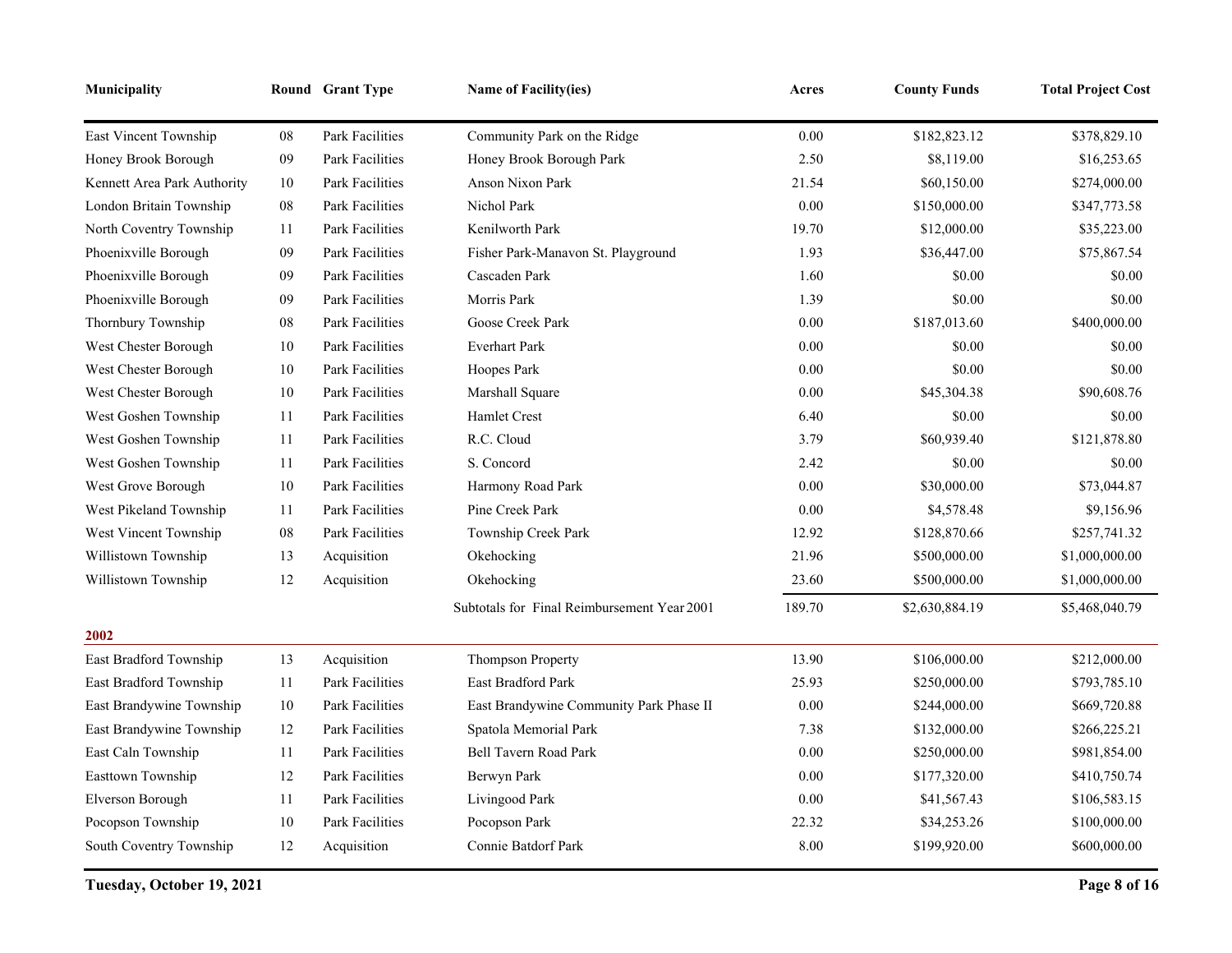| Municipality                 |            | Round Grant Type       | <b>Name of Facility(ies)</b>                | Acres  | <b>County Funds</b> | <b>Total Project Cost</b> |
|------------------------------|------------|------------------------|---------------------------------------------|--------|---------------------|---------------------------|
| <b>East Vincent Township</b> | ${\bf 08}$ | Park Facilities        | Community Park on the Ridge                 | 0.00   | \$182,823.12        | \$378,829.10              |
| Honey Brook Borough          | 09         | <b>Park Facilities</b> | Honey Brook Borough Park                    | 2.50   | \$8,119.00          | \$16,253.65               |
| Kennett Area Park Authority  | 10         | Park Facilities        | Anson Nixon Park                            | 21.54  | \$60,150.00         | \$274,000.00              |
| London Britain Township      | ${\bf 08}$ | Park Facilities        | Nichol Park                                 | 0.00   | \$150,000.00        | \$347,773.58              |
| North Coventry Township      | 11         | Park Facilities        | Kenilworth Park                             | 19.70  | \$12,000.00         | \$35,223.00               |
| Phoenixville Borough         | 09         | Park Facilities        | Fisher Park-Manavon St. Playground          | 1.93   | \$36,447.00         | \$75,867.54               |
| Phoenixville Borough         | 09         | Park Facilities        | Cascaden Park                               | 1.60   | \$0.00              | \$0.00                    |
| Phoenixville Borough         | 09         | Park Facilities        | Morris Park                                 | 1.39   | \$0.00              | \$0.00                    |
| Thornbury Township           | ${\bf 08}$ | Park Facilities        | Goose Creek Park                            | 0.00   | \$187,013.60        | \$400,000.00              |
| West Chester Borough         | 10         | Park Facilities        | <b>Everhart Park</b>                        | 0.00   | \$0.00              | \$0.00                    |
| West Chester Borough         | 10         | Park Facilities        | Hoopes Park                                 | 0.00   | \$0.00              | \$0.00                    |
| West Chester Borough         | 10         | Park Facilities        | Marshall Square                             | 0.00   | \$45,304.38         | \$90,608.76               |
| West Goshen Township         | 11         | Park Facilities        | Hamlet Crest                                | 6.40   | \$0.00              | \$0.00                    |
| West Goshen Township         | 11         | Park Facilities        | R.C. Cloud                                  | 3.79   | \$60,939.40         | \$121,878.80              |
| West Goshen Township         | 11         | Park Facilities        | S. Concord                                  | 2.42   | \$0.00              | \$0.00                    |
| West Grove Borough           | 10         | Park Facilities        | Harmony Road Park                           | 0.00   | \$30,000.00         | \$73,044.87               |
| West Pikeland Township       | 11         | Park Facilities        | Pine Creek Park                             | 0.00   | \$4,578.48          | \$9,156.96                |
| West Vincent Township        | ${\bf 08}$ | Park Facilities        | Township Creek Park                         | 12.92  | \$128,870.66        | \$257,741.32              |
| Willistown Township          | 13         | Acquisition            | Okehocking                                  | 21.96  | \$500,000.00        | \$1,000,000.00            |
| Willistown Township          | 12         | Acquisition            | Okehocking                                  | 23.60  | \$500,000.00        | \$1,000,000.00            |
|                              |            |                        | Subtotals for Final Reimbursement Year 2001 | 189.70 | \$2,630,884.19      | \$5,468,040.79            |
| 2002                         |            |                        |                                             |        |                     |                           |
| East Bradford Township       | 13         | Acquisition            | <b>Thompson Property</b>                    | 13.90  | \$106,000.00        | \$212,000.00              |
| East Bradford Township       | 11         | <b>Park Facilities</b> | East Bradford Park                          | 25.93  | \$250,000.00        | \$793,785.10              |
| East Brandywine Township     | $10\,$     | Park Facilities        | East Brandywine Community Park Phase II     | 0.00   | \$244,000.00        | \$669,720.88              |
| East Brandywine Township     | 12         | Park Facilities        | Spatola Memorial Park                       | 7.38   | \$132,000.00        | \$266,225.21              |
| East Caln Township           | 11         | Park Facilities        | <b>Bell Tavern Road Park</b>                | 0.00   | \$250,000.00        | \$981,854.00              |
| Easttown Township            | 12         | Park Facilities        | Berwyn Park                                 | 0.00   | \$177,320.00        | \$410,750.74              |
| Elverson Borough             | 11         | Park Facilities        | Livingood Park                              | 0.00   | \$41,567.43         | \$106,583.15              |
| Pocopson Township            | 10         | Park Facilities        | Pocopson Park                               | 22.32  | \$34,253.26         | \$100,000.00              |
| South Coventry Township      | 12         | Acquisition            | Connie Batdorf Park                         | 8.00   | \$199,920.00        | \$600,000.00              |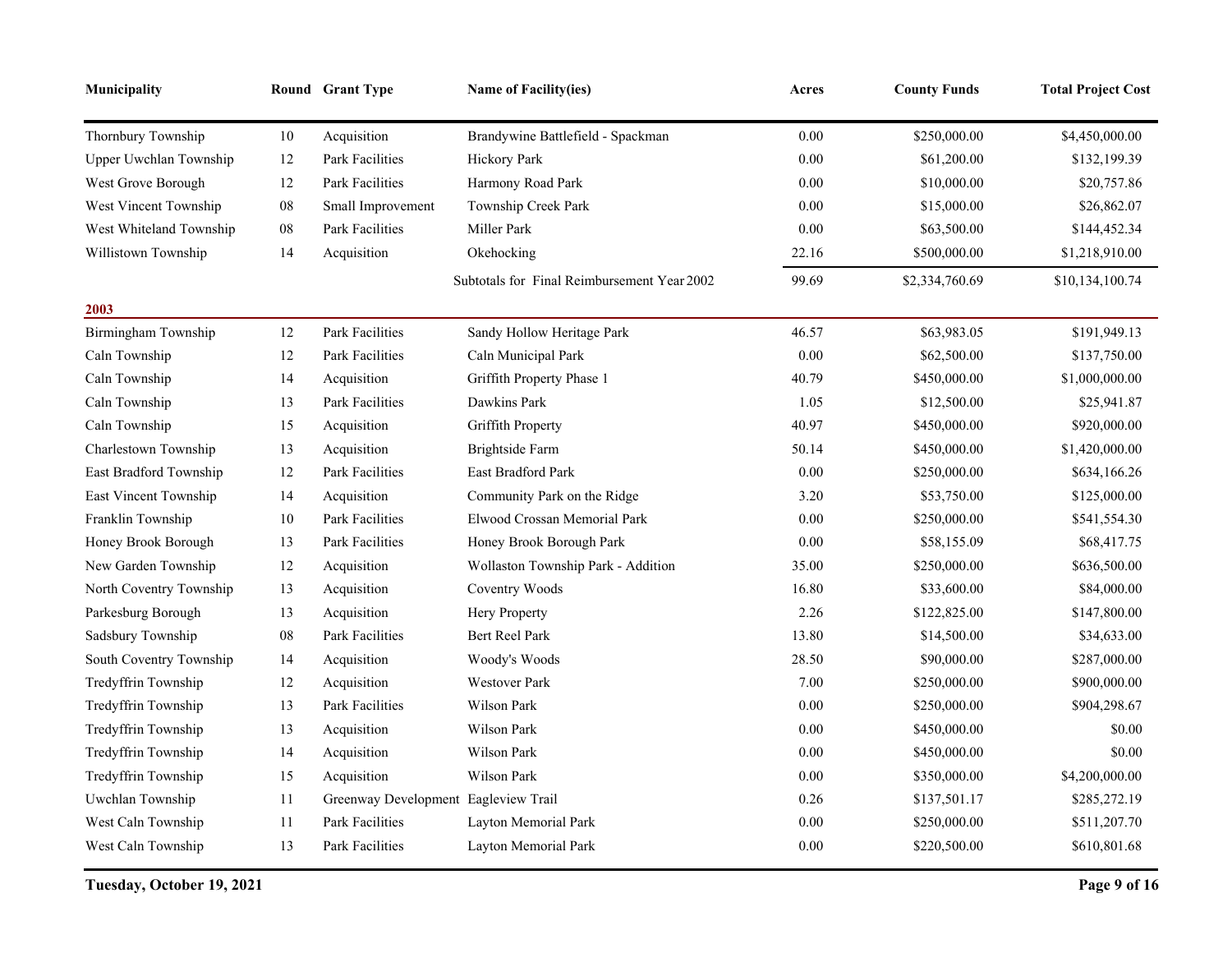| Municipality            |            | Round Grant Type                     | Name of Facility(ies)                       | Acres    | <b>County Funds</b> | <b>Total Project Cost</b> |
|-------------------------|------------|--------------------------------------|---------------------------------------------|----------|---------------------|---------------------------|
| Thornbury Township      | 10         | Acquisition                          | Brandywine Battlefield - Spackman           | $0.00\,$ | \$250,000.00        | \$4,450,000.00            |
| Upper Uwchlan Township  | 12         | <b>Park Facilities</b>               | Hickory Park                                | 0.00     | \$61,200.00         | \$132,199.39              |
| West Grove Borough      | 12         | Park Facilities                      | Harmony Road Park                           | 0.00     | \$10,000.00         | \$20,757.86               |
| West Vincent Township   | 08         | Small Improvement                    | Township Creek Park                         | 0.00     | \$15,000.00         | \$26,862.07               |
| West Whiteland Township | ${\bf 08}$ | Park Facilities                      | Miller Park                                 | 0.00     | \$63,500.00         | \$144,452.34              |
| Willistown Township     | 14         | Acquisition                          | Okehocking                                  | 22.16    | \$500,000.00        | \$1,218,910.00            |
|                         |            |                                      | Subtotals for Final Reimbursement Year 2002 | 99.69    | \$2,334,760.69      | \$10,134,100.74           |
| 2003                    |            |                                      |                                             |          |                     |                           |
| Birmingham Township     | 12         | Park Facilities                      | Sandy Hollow Heritage Park                  | 46.57    | \$63,983.05         | \$191,949.13              |
| Caln Township           | 12         | Park Facilities                      | Caln Municipal Park                         | 0.00     | \$62,500.00         | \$137,750.00              |
| Caln Township           | 14         | Acquisition                          | Griffith Property Phase 1                   | 40.79    | \$450,000.00        | \$1,000,000.00            |
| Caln Township           | 13         | Park Facilities                      | Dawkins Park                                | 1.05     | \$12,500.00         | \$25,941.87               |
| Caln Township           | 15         | Acquisition                          | Griffith Property                           | 40.97    | \$450,000.00        | \$920,000.00              |
| Charlestown Township    | 13         | Acquisition                          | Brightside Farm                             | 50.14    | \$450,000.00        | \$1,420,000.00            |
| East Bradford Township  | 12         | <b>Park Facilities</b>               | East Bradford Park                          | 0.00     | \$250,000.00        | \$634,166.26              |
| East Vincent Township   | 14         | Acquisition                          | Community Park on the Ridge                 | 3.20     | \$53,750.00         | \$125,000.00              |
| Franklin Township       | 10         | Park Facilities                      | Elwood Crossan Memorial Park                | 0.00     | \$250,000.00        | \$541,554.30              |
| Honey Brook Borough     | 13         | Park Facilities                      | Honey Brook Borough Park                    | 0.00     | \$58,155.09         | \$68,417.75               |
| New Garden Township     | 12         | Acquisition                          | Wollaston Township Park - Addition          | 35.00    | \$250,000.00        | \$636,500.00              |
| North Coventry Township | 13         | Acquisition                          | Coventry Woods                              | 16.80    | \$33,600.00         | \$84,000.00               |
| Parkesburg Borough      | 13         | Acquisition                          | Hery Property                               | 2.26     | \$122,825.00        | \$147,800.00              |
| Sadsbury Township       | 08         | Park Facilities                      | Bert Reel Park                              | 13.80    | \$14,500.00         | \$34,633.00               |
| South Coventry Township | 14         | Acquisition                          | Woody's Woods                               | 28.50    | \$90,000.00         | \$287,000.00              |
| Tredyffrin Township     | 12         | Acquisition                          | <b>Westover Park</b>                        | 7.00     | \$250,000.00        | \$900,000.00              |
| Tredyffrin Township     | 13         | Park Facilities                      | Wilson Park                                 | 0.00     | \$250,000.00        | \$904,298.67              |
| Tredyffrin Township     | 13         | Acquisition                          | Wilson Park                                 | 0.00     | \$450,000.00        | \$0.00                    |
| Tredyffrin Township     | 14         | Acquisition                          | Wilson Park                                 | 0.00     | \$450,000.00        | \$0.00                    |
| Tredyffrin Township     | 15         | Acquisition                          | Wilson Park                                 | 0.00     | \$350,000.00        | \$4,200,000.00            |
| Uwchlan Township        | 11         | Greenway Development Eagleview Trail |                                             | 0.26     | \$137,501.17        | \$285,272.19              |
| West Caln Township      | 11         | Park Facilities                      | Layton Memorial Park                        | 0.00     | \$250,000.00        | \$511,207.70              |
| West Caln Township      | 13         | Park Facilities                      | Layton Memorial Park                        | 0.00     | \$220,500.00        | \$610,801.68              |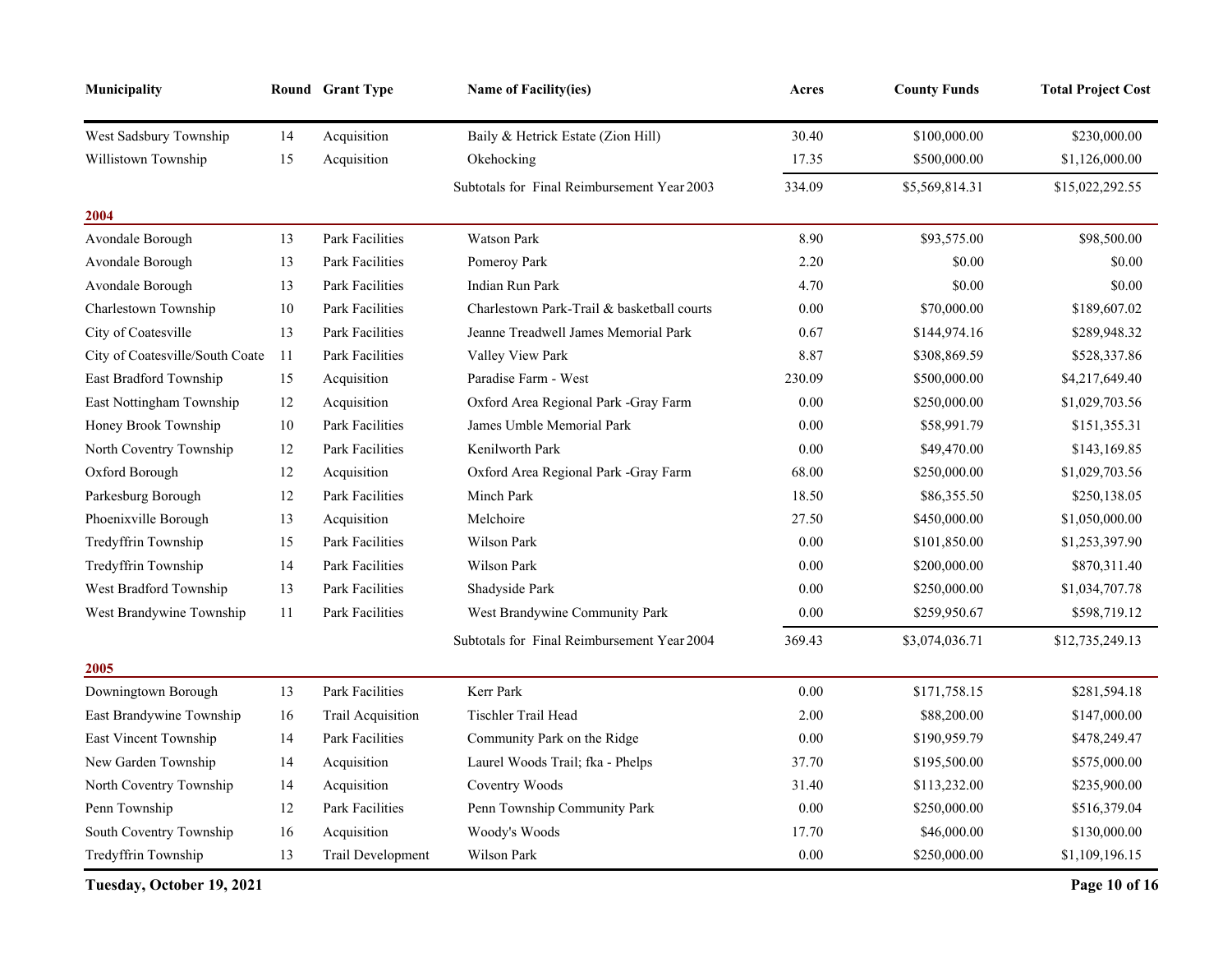| Municipality                    |    | Round Grant Type       | <b>Name of Facility(ies)</b>                | Acres    | <b>County Funds</b> | <b>Total Project Cost</b> |
|---------------------------------|----|------------------------|---------------------------------------------|----------|---------------------|---------------------------|
| West Sadsbury Township          | 14 | Acquisition            | Baily & Hetrick Estate (Zion Hill)          | 30.40    | \$100,000.00        | \$230,000.00              |
| Willistown Township             | 15 | Acquisition            | Okehocking                                  | 17.35    | \$500,000.00        | \$1,126,000.00            |
|                                 |    |                        | Subtotals for Final Reimbursement Year 2003 | 334.09   | \$5,569,814.31      | \$15,022,292.55           |
| 2004                            |    |                        |                                             |          |                     |                           |
| Avondale Borough                | 13 | Park Facilities        | <b>Watson Park</b>                          | 8.90     | \$93,575.00         | \$98,500.00               |
| Avondale Borough                | 13 | <b>Park Facilities</b> | Pomeroy Park                                | 2.20     | \$0.00              | \$0.00                    |
| Avondale Borough                | 13 | <b>Park Facilities</b> | <b>Indian Run Park</b>                      | 4.70     | \$0.00              | \$0.00                    |
| Charlestown Township            | 10 | Park Facilities        | Charlestown Park-Trail & basketball courts  | 0.00     | \$70,000.00         | \$189,607.02              |
| City of Coatesville             | 13 | Park Facilities        | Jeanne Treadwell James Memorial Park        | 0.67     | \$144,974.16        | \$289,948.32              |
| City of Coatesville/South Coate | 11 | Park Facilities        | Valley View Park                            | 8.87     | \$308,869.59        | \$528,337.86              |
| East Bradford Township          | 15 | Acquisition            | Paradise Farm - West                        | 230.09   | \$500,000.00        | \$4,217,649.40            |
| East Nottingham Township        | 12 | Acquisition            | Oxford Area Regional Park -Gray Farm        | 0.00     | \$250,000.00        | \$1,029,703.56            |
| Honey Brook Township            | 10 | <b>Park Facilities</b> | James Umble Memorial Park                   | 0.00     | \$58,991.79         | \$151,355.31              |
| North Coventry Township         | 12 | Park Facilities        | Kenilworth Park                             | 0.00     | \$49,470.00         | \$143,169.85              |
| Oxford Borough                  | 12 | Acquisition            | Oxford Area Regional Park -Gray Farm        | 68.00    | \$250,000.00        | \$1,029,703.56            |
| Parkesburg Borough              | 12 | <b>Park Facilities</b> | Minch Park                                  | 18.50    | \$86,355.50         | \$250,138.05              |
| Phoenixville Borough            | 13 | Acquisition            | Melchoire                                   | 27.50    | \$450,000.00        | \$1,050,000.00            |
| Tredyffrin Township             | 15 | Park Facilities        | Wilson Park                                 | 0.00     | \$101,850.00        | \$1,253,397.90            |
| Tredyffrin Township             | 14 | Park Facilities        | Wilson Park                                 | 0.00     | \$200,000.00        | \$870,311.40              |
| West Bradford Township          | 13 | Park Facilities        | Shadyside Park                              | 0.00     | \$250,000.00        | \$1,034,707.78            |
| West Brandywine Township        | 11 | <b>Park Facilities</b> | West Brandywine Community Park              | 0.00     | \$259,950.67        | \$598,719.12              |
|                                 |    |                        | Subtotals for Final Reimbursement Year 2004 | 369.43   | \$3,074,036.71      | \$12,735,249.13           |
| 2005                            |    |                        |                                             |          |                     |                           |
| Downingtown Borough             | 13 | <b>Park Facilities</b> | Kerr Park                                   | 0.00     | \$171,758.15        | \$281,594.18              |
| East Brandywine Township        | 16 | Trail Acquisition      | Tischler Trail Head                         | 2.00     | \$88,200.00         | \$147,000.00              |
| East Vincent Township           | 14 | Park Facilities        | Community Park on the Ridge                 | 0.00     | \$190,959.79        | \$478,249.47              |
| New Garden Township             | 14 | Acquisition            | Laurel Woods Trail; fka - Phelps            | 37.70    | \$195,500.00        | \$575,000.00              |
| North Coventry Township         | 14 | Acquisition            | Coventry Woods                              | 31.40    | \$113,232.00        | \$235,900.00              |
| Penn Township                   | 12 | Park Facilities        | Penn Township Community Park                | 0.00     | \$250,000.00        | \$516,379.04              |
| South Coventry Township         | 16 | Acquisition            | Woody's Woods                               | 17.70    | \$46,000.00         | \$130,000.00              |
| Tredyffrin Township             | 13 | Trail Development      | Wilson Park                                 | $0.00\,$ | \$250,000.00        | \$1,109,196.15            |

**Tuesday, October 19, 2021 Page 10 of 16**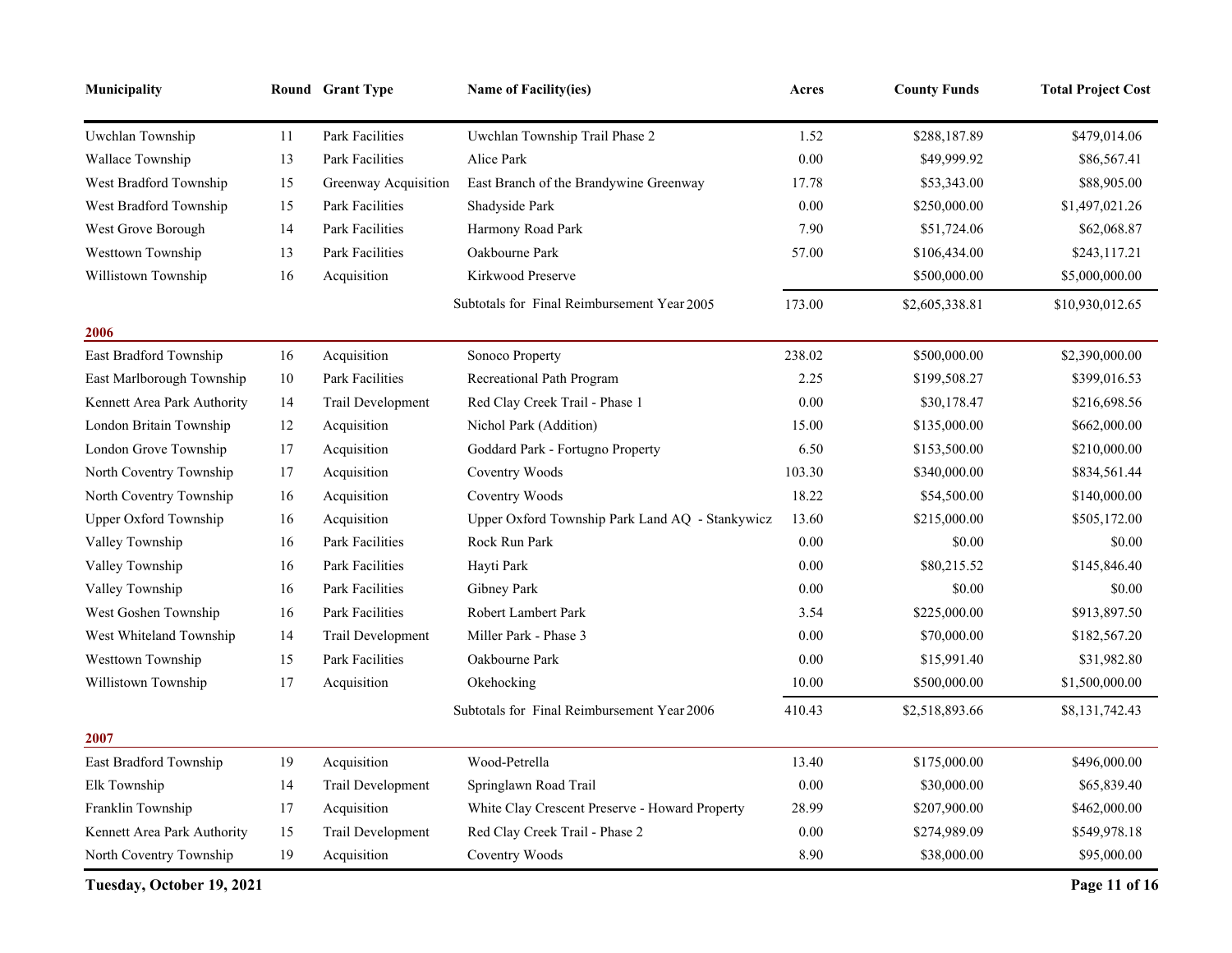| Municipality                |    | Round Grant Type       | <b>Name of Facility(ies)</b>                    | Acres  | <b>County Funds</b> | <b>Total Project Cost</b> |
|-----------------------------|----|------------------------|-------------------------------------------------|--------|---------------------|---------------------------|
| Uwchlan Township            | 11 | <b>Park Facilities</b> | Uwchlan Township Trail Phase 2                  | 1.52   | \$288,187.89        | \$479,014.06              |
| Wallace Township            | 13 | Park Facilities        | Alice Park                                      | 0.00   | \$49,999.92         | \$86,567.41               |
| West Bradford Township      | 15 | Greenway Acquisition   | East Branch of the Brandywine Greenway          | 17.78  | \$53,343.00         | \$88,905.00               |
| West Bradford Township      | 15 | Park Facilities        | Shadyside Park                                  | 0.00   | \$250,000.00        | \$1,497,021.26            |
| West Grove Borough          | 14 | Park Facilities        | Harmony Road Park                               | 7.90   | \$51,724.06         | \$62,068.87               |
| Westtown Township           | 13 | Park Facilities        | Oakbourne Park                                  | 57.00  | \$106,434.00        | \$243,117.21              |
| Willistown Township         | 16 | Acquisition            | Kirkwood Preserve                               |        | \$500,000.00        | \$5,000,000.00            |
|                             |    |                        | Subtotals for Final Reimbursement Year 2005     | 173.00 | \$2,605,338.81      | \$10,930,012.65           |
| 2006                        |    |                        |                                                 |        |                     |                           |
| East Bradford Township      | 16 | Acquisition            | Sonoco Property                                 | 238.02 | \$500,000.00        | \$2,390,000.00            |
| East Marlborough Township   | 10 | <b>Park Facilities</b> | Recreational Path Program                       | 2.25   | \$199,508.27        | \$399,016.53              |
| Kennett Area Park Authority | 14 | Trail Development      | Red Clay Creek Trail - Phase 1                  | 0.00   | \$30,178.47         | \$216,698.56              |
| London Britain Township     | 12 | Acquisition            | Nichol Park (Addition)                          | 15.00  | \$135,000.00        | \$662,000.00              |
| London Grove Township       | 17 | Acquisition            | Goddard Park - Fortugno Property                | 6.50   | \$153,500.00        | \$210,000.00              |
| North Coventry Township     | 17 | Acquisition            | Coventry Woods                                  | 103.30 | \$340,000.00        | \$834,561.44              |
| North Coventry Township     | 16 | Acquisition            | Coventry Woods                                  | 18.22  | \$54,500.00         | \$140,000.00              |
| Upper Oxford Township       | 16 | Acquisition            | Upper Oxford Township Park Land AQ - Stankywicz | 13.60  | \$215,000.00        | \$505,172.00              |
| Valley Township             | 16 | Park Facilities        | Rock Run Park                                   | 0.00   | \$0.00              | \$0.00                    |
| Valley Township             | 16 | Park Facilities        | Hayti Park                                      | 0.00   | \$80,215.52         | \$145,846.40              |
| Valley Township             | 16 | Park Facilities        | Gibney Park                                     | 0.00   | \$0.00              | \$0.00                    |
| West Goshen Township        | 16 | Park Facilities        | <b>Robert Lambert Park</b>                      | 3.54   | \$225,000.00        | \$913,897.50              |
| West Whiteland Township     | 14 | Trail Development      | Miller Park - Phase 3                           | 0.00   | \$70,000.00         | \$182,567.20              |
| Westtown Township           | 15 | Park Facilities        | Oakbourne Park                                  | 0.00   | \$15,991.40         | \$31,982.80               |
| Willistown Township         | 17 | Acquisition            | Okehocking                                      | 10.00  | \$500,000.00        | \$1,500,000.00            |
|                             |    |                        | Subtotals for Final Reimbursement Year 2006     | 410.43 | \$2,518,893.66      | \$8,131,742.43            |
| 2007                        |    |                        |                                                 |        |                     |                           |
| East Bradford Township      | 19 | Acquisition            | Wood-Petrella                                   | 13.40  | \$175,000.00        | \$496,000.00              |
| Elk Township                | 14 | Trail Development      | Springlawn Road Trail                           | 0.00   | \$30,000.00         | \$65,839.40               |
| Franklin Township           | 17 | Acquisition            | White Clay Crescent Preserve - Howard Property  | 28.99  | \$207,900.00        | \$462,000.00              |
| Kennett Area Park Authority | 15 | Trail Development      | Red Clay Creek Trail - Phase 2                  | 0.00   | \$274,989.09        | \$549,978.18              |
| North Coventry Township     | 19 | Acquisition            | Coventry Woods                                  | 8.90   | \$38,000.00         | \$95,000.00               |

**Tuesday, October 19, 2021 Page 11 of 16**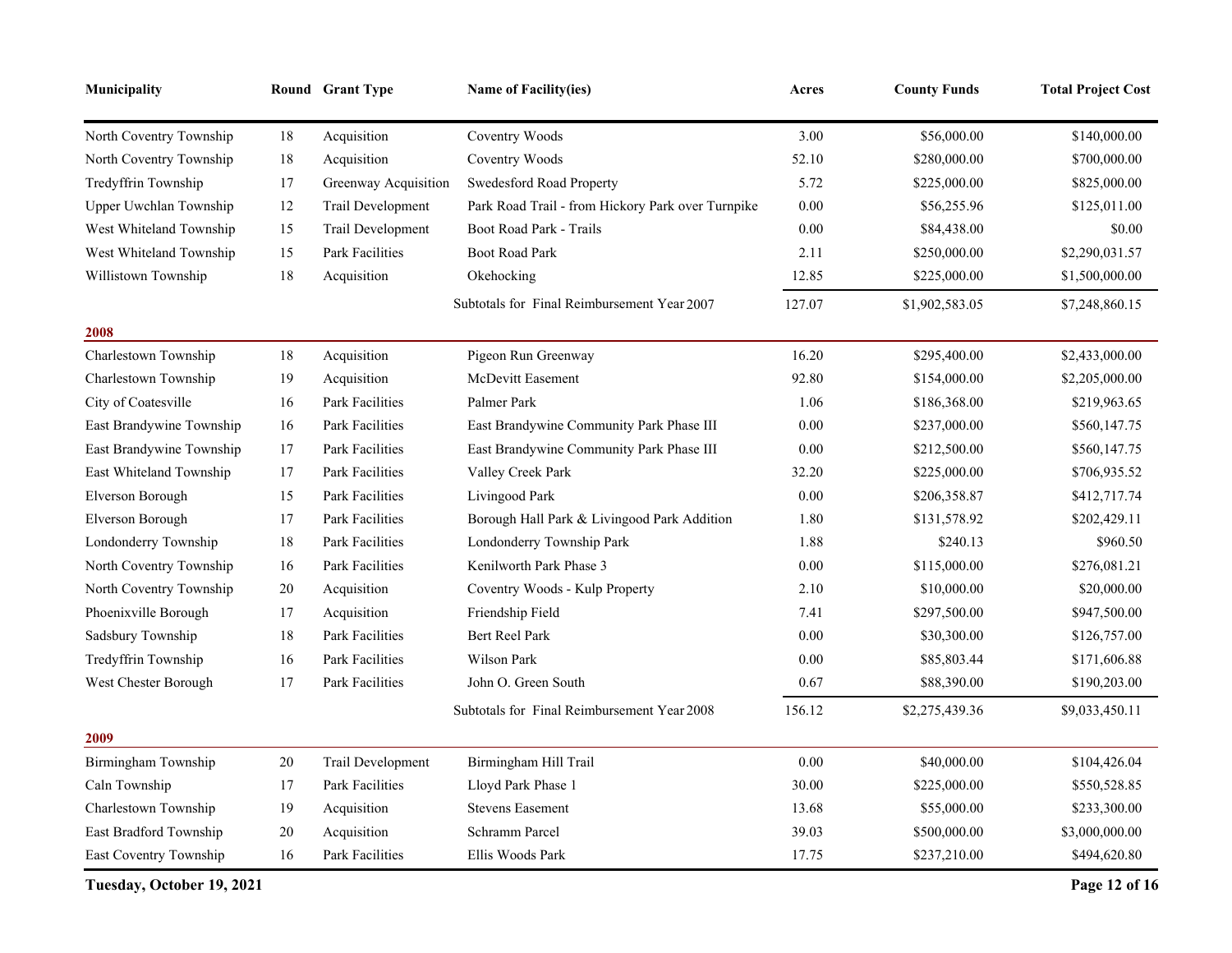| Municipality              |        | Round Grant Type       | <b>Name of Facility(ies)</b>                      | Acres  | <b>County Funds</b> | <b>Total Project Cost</b> |
|---------------------------|--------|------------------------|---------------------------------------------------|--------|---------------------|---------------------------|
| North Coventry Township   | 18     | Acquisition            | Coventry Woods                                    | 3.00   | \$56,000.00         | \$140,000.00              |
| North Coventry Township   | 18     | Acquisition            | Coventry Woods                                    | 52.10  | \$280,000.00        | \$700,000.00              |
| Tredyffrin Township       | 17     | Greenway Acquisition   | Swedesford Road Property                          | 5.72   | \$225,000.00        | \$825,000.00              |
| Upper Uwchlan Township    | 12     | Trail Development      | Park Road Trail - from Hickory Park over Turnpike | 0.00   | \$56,255.96         | \$125,011.00              |
| West Whiteland Township   | 15     | Trail Development      | Boot Road Park - Trails                           | 0.00   | \$84,438.00         | \$0.00                    |
| West Whiteland Township   | 15     | Park Facilities        | <b>Boot Road Park</b>                             | 2.11   | \$250,000.00        | \$2,290,031.57            |
| Willistown Township       | 18     | Acquisition            | Okehocking                                        | 12.85  | \$225,000.00        | \$1,500,000.00            |
|                           |        |                        | Subtotals for Final Reimbursement Year 2007       | 127.07 | \$1,902,583.05      | \$7,248,860.15            |
| 2008                      |        |                        |                                                   |        |                     |                           |
| Charlestown Township      | 18     | Acquisition            | Pigeon Run Greenway                               | 16.20  | \$295,400.00        | \$2,433,000.00            |
| Charlestown Township      | 19     | Acquisition            | McDevitt Easement                                 | 92.80  | \$154,000.00        | \$2,205,000.00            |
| City of Coatesville       | 16     | <b>Park Facilities</b> | Palmer Park                                       | 1.06   | \$186,368.00        | \$219,963.65              |
| East Brandywine Township  | 16     | <b>Park Facilities</b> | East Brandywine Community Park Phase III          | 0.00   | \$237,000.00        | \$560,147.75              |
| East Brandywine Township  | 17     | Park Facilities        | East Brandywine Community Park Phase III          | 0.00   | \$212,500.00        | \$560,147.75              |
| East Whiteland Township   | 17     | Park Facilities        | Valley Creek Park                                 | 32.20  | \$225,000.00        | \$706,935.52              |
| Elverson Borough          | 15     | Park Facilities        | Livingood Park                                    | 0.00   | \$206,358.87        | \$412,717.74              |
| Elverson Borough          | 17     | <b>Park Facilities</b> | Borough Hall Park & Livingood Park Addition       | 1.80   | \$131,578.92        | \$202,429.11              |
| Londonderry Township      | 18     | Park Facilities        | Londonderry Township Park                         | 1.88   | \$240.13            | \$960.50                  |
| North Coventry Township   | 16     | Park Facilities        | Kenilworth Park Phase 3                           | 0.00   | \$115,000.00        | \$276,081.21              |
| North Coventry Township   | 20     | Acquisition            | Coventry Woods - Kulp Property                    | 2.10   | \$10,000.00         | \$20,000.00               |
| Phoenixville Borough      | 17     | Acquisition            | Friendship Field                                  | 7.41   | \$297,500.00        | \$947,500.00              |
| Sadsbury Township         | 18     | Park Facilities        | Bert Reel Park                                    | 0.00   | \$30,300.00         | \$126,757.00              |
| Tredyffrin Township       | 16     | Park Facilities        | Wilson Park                                       | 0.00   | \$85,803.44         | \$171,606.88              |
| West Chester Borough      | 17     | Park Facilities        | John O. Green South                               | 0.67   | \$88,390.00         | \$190,203.00              |
|                           |        |                        | Subtotals for Final Reimbursement Year 2008       | 156.12 | \$2,275,439.36      | \$9,033,450.11            |
| 2009                      |        |                        |                                                   |        |                     |                           |
| Birmingham Township       | $20\,$ | Trail Development      | Birmingham Hill Trail                             | 0.00   | \$40,000.00         | \$104,426.04              |
| Caln Township             | 17     | Park Facilities        | Lloyd Park Phase 1                                | 30.00  | \$225,000.00        | \$550,528.85              |
| Charlestown Township      | 19     | Acquisition            | <b>Stevens Easement</b>                           | 13.68  | \$55,000.00         | \$233,300.00              |
| East Bradford Township    | 20     | Acquisition            | Schramm Parcel                                    | 39.03  | \$500,000.00        | \$3,000,000.00            |
| East Coventry Township    | 16     | Park Facilities        | Ellis Woods Park                                  | 17.75  | \$237,210.00        | \$494,620.80              |
| Tuesday, October 19, 2021 |        |                        |                                                   |        |                     | Page 12 of 16             |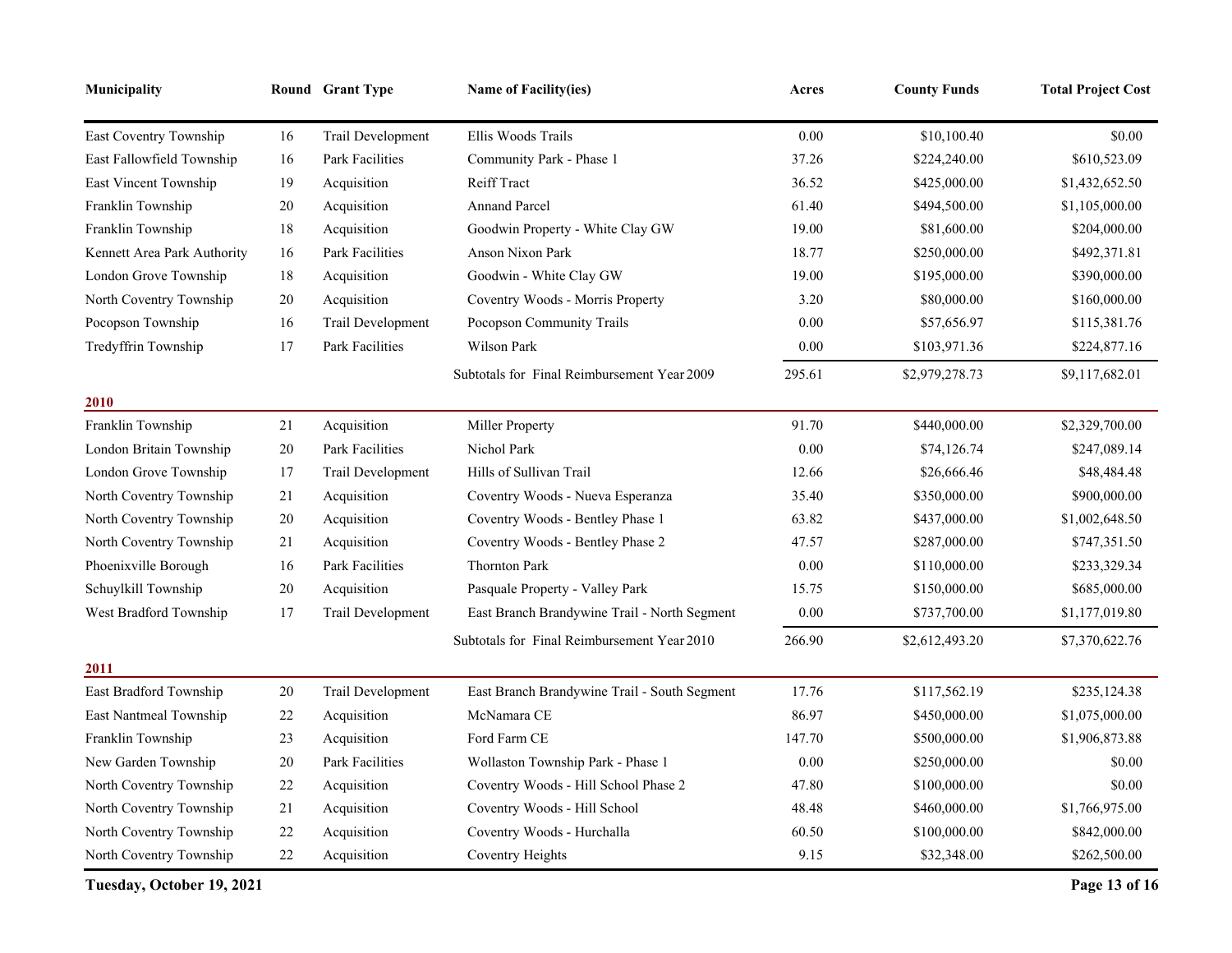| Municipality                |        | Round Grant Type       | <b>Name of Facility(ies)</b>                 | Acres  | <b>County Funds</b> | <b>Total Project Cost</b> |
|-----------------------------|--------|------------------------|----------------------------------------------|--------|---------------------|---------------------------|
| East Coventry Township      | 16     | Trail Development      | Ellis Woods Trails                           | 0.00   | \$10,100.40         | \$0.00                    |
| East Fallowfield Township   | 16     | <b>Park Facilities</b> | Community Park - Phase 1                     | 37.26  | \$224,240.00        | \$610,523.09              |
| East Vincent Township       | 19     | Acquisition            | Reiff Tract                                  | 36.52  | \$425,000.00        | \$1,432,652.50            |
| Franklin Township           | $20\,$ | Acquisition            | <b>Annand Parcel</b>                         | 61.40  | \$494,500.00        | \$1,105,000.00            |
| Franklin Township           | 18     | Acquisition            | Goodwin Property - White Clay GW             | 19.00  | \$81,600.00         | \$204,000.00              |
| Kennett Area Park Authority | 16     | <b>Park Facilities</b> | <b>Anson Nixon Park</b>                      | 18.77  | \$250,000.00        | \$492,371.81              |
| London Grove Township       | 18     | Acquisition            | Goodwin - White Clay GW                      | 19.00  | \$195,000.00        | \$390,000.00              |
| North Coventry Township     | $20\,$ | Acquisition            | Coventry Woods - Morris Property             | 3.20   | \$80,000.00         | \$160,000.00              |
| Pocopson Township           | 16     | Trail Development      | Pocopson Community Trails                    | 0.00   | \$57,656.97         | \$115,381.76              |
| Tredyffrin Township         | 17     | Park Facilities        | Wilson Park                                  | 0.00   | \$103,971.36        | \$224,877.16              |
|                             |        |                        | Subtotals for Final Reimbursement Year 2009  | 295.61 | \$2,979,278.73      | \$9,117,682.01            |
| 2010                        |        |                        |                                              |        |                     |                           |
| Franklin Township           | 21     | Acquisition            | Miller Property                              | 91.70  | \$440,000.00        | \$2,329,700.00            |
| London Britain Township     | $20\,$ | Park Facilities        | Nichol Park                                  | 0.00   | \$74,126.74         | \$247,089.14              |
| London Grove Township       | 17     | Trail Development      | Hills of Sullivan Trail                      | 12.66  | \$26,666.46         | \$48,484.48               |
| North Coventry Township     | 21     | Acquisition            | Coventry Woods - Nueva Esperanza             | 35.40  | \$350,000.00        | \$900,000.00              |
| North Coventry Township     | 20     | Acquisition            | Coventry Woods - Bentley Phase 1             | 63.82  | \$437,000.00        | \$1,002,648.50            |
| North Coventry Township     | 21     | Acquisition            | Coventry Woods - Bentley Phase 2             | 47.57  | \$287,000.00        | \$747,351.50              |
| Phoenixville Borough        | 16     | Park Facilities        | <b>Thornton Park</b>                         | 0.00   | \$110,000.00        | \$233,329.34              |
| Schuylkill Township         | $20\,$ | Acquisition            | Pasquale Property - Valley Park              | 15.75  | \$150,000.00        | \$685,000.00              |
| West Bradford Township      | 17     | Trail Development      | East Branch Brandywine Trail - North Segment | 0.00   | \$737,700.00        | \$1,177,019.80            |
|                             |        |                        | Subtotals for Final Reimbursement Year 2010  | 266.90 | \$2,612,493.20      | \$7,370,622.76            |
| 2011                        |        |                        |                                              |        |                     |                           |
| East Bradford Township      | $20\,$ | Trail Development      | East Branch Brandywine Trail - South Segment | 17.76  | \$117,562.19        | \$235,124.38              |
| East Nantmeal Township      | 22     | Acquisition            | McNamara CE                                  | 86.97  | \$450,000.00        | \$1,075,000.00            |
| Franklin Township           | 23     | Acquisition            | Ford Farm CE                                 | 147.70 | \$500,000.00        | \$1,906,873.88            |
| New Garden Township         | 20     | Park Facilities        | Wollaston Township Park - Phase 1            | 0.00   | \$250,000.00        | \$0.00                    |
| North Coventry Township     | $22\,$ | Acquisition            | Coventry Woods - Hill School Phase 2         | 47.80  | \$100,000.00        | \$0.00                    |
| North Coventry Township     | 21     | Acquisition            | Coventry Woods - Hill School                 | 48.48  | \$460,000.00        | \$1,766,975.00            |
| North Coventry Township     | 22     | Acquisition            | Coventry Woods - Hurchalla                   | 60.50  | \$100,000.00        | \$842,000.00              |
| North Coventry Township     | 22     | Acquisition            | Coventry Heights                             | 9.15   | \$32,348.00         | \$262,500.00              |

**Tuesday, October 19, 2021 Page 13 of 16**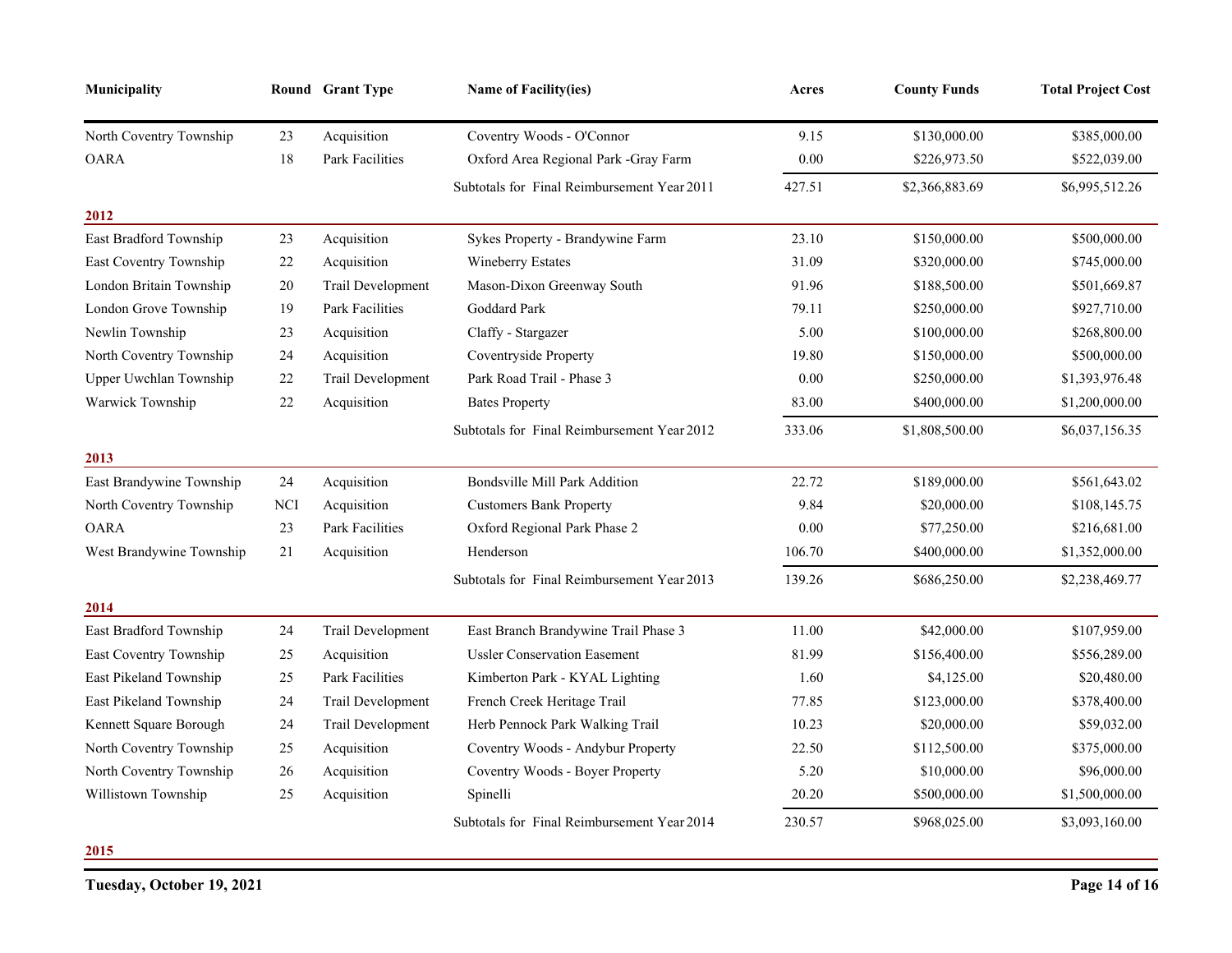| Municipality             |            | Round Grant Type       | <b>Name of Facility(ies)</b>                | Acres    | <b>County Funds</b> | <b>Total Project Cost</b> |
|--------------------------|------------|------------------------|---------------------------------------------|----------|---------------------|---------------------------|
| North Coventry Township  | 23         | Acquisition            | Coventry Woods - O'Connor                   | 9.15     | \$130,000.00        | \$385,000.00              |
| <b>OARA</b>              | 18         | Park Facilities        | Oxford Area Regional Park -Gray Farm        | $0.00\,$ | \$226,973.50        | \$522,039.00              |
|                          |            |                        | Subtotals for Final Reimbursement Year 2011 | 427.51   | \$2,366,883.69      | \$6,995,512.26            |
| 2012                     |            |                        |                                             |          |                     |                           |
| East Bradford Township   | 23         | Acquisition            | Sykes Property - Brandywine Farm            | 23.10    | \$150,000.00        | \$500,000.00              |
| East Coventry Township   | $22\,$     | Acquisition            | Wineberry Estates                           | 31.09    | \$320,000.00        | \$745,000.00              |
| London Britain Township  | $20\,$     | Trail Development      | Mason-Dixon Greenway South                  | 91.96    | \$188,500.00        | \$501,669.87              |
| London Grove Township    | 19         | <b>Park Facilities</b> | Goddard Park                                | 79.11    | \$250,000.00        | \$927,710.00              |
| Newlin Township          | 23         | Acquisition            | Claffy - Stargazer                          | 5.00     | \$100,000.00        | \$268,800.00              |
| North Coventry Township  | 24         | Acquisition            | Coventryside Property                       | 19.80    | \$150,000.00        | \$500,000.00              |
| Upper Uwchlan Township   | 22         | Trail Development      | Park Road Trail - Phase 3                   | 0.00     | \$250,000.00        | \$1,393,976.48            |
| Warwick Township         | 22         | Acquisition            | <b>Bates Property</b>                       | 83.00    | \$400,000.00        | \$1,200,000.00            |
|                          |            |                        | Subtotals for Final Reimbursement Year 2012 | 333.06   | \$1,808,500.00      | \$6,037,156.35            |
| 2013                     |            |                        |                                             |          |                     |                           |
| East Brandywine Township | 24         | Acquisition            | Bondsville Mill Park Addition               | 22.72    | \$189,000.00        | \$561,643.02              |
| North Coventry Township  | <b>NCI</b> | Acquisition            | <b>Customers Bank Property</b>              | 9.84     | \$20,000.00         | \$108,145.75              |
| <b>OARA</b>              | 23         | <b>Park Facilities</b> | Oxford Regional Park Phase 2                | 0.00     | \$77,250.00         | \$216,681.00              |
| West Brandywine Township | 21         | Acquisition            | Henderson                                   | 106.70   | \$400,000.00        | \$1,352,000.00            |
|                          |            |                        | Subtotals for Final Reimbursement Year 2013 | 139.26   | \$686,250.00        | \$2,238,469.77            |
| 2014                     |            |                        |                                             |          |                     |                           |
| East Bradford Township   | 24         | Trail Development      | East Branch Brandywine Trail Phase 3        | 11.00    | \$42,000.00         | \$107,959.00              |
| East Coventry Township   | 25         | Acquisition            | <b>Ussler Conservation Easement</b>         | 81.99    | \$156,400.00        | \$556,289.00              |
| East Pikeland Township   | 25         | Park Facilities        | Kimberton Park - KYAL Lighting              | 1.60     | \$4,125.00          | \$20,480.00               |
| East Pikeland Township   | 24         | Trail Development      | French Creek Heritage Trail                 | 77.85    | \$123,000.00        | \$378,400.00              |
| Kennett Square Borough   | 24         | Trail Development      | Herb Pennock Park Walking Trail             | 10.23    | \$20,000.00         | \$59,032.00               |
| North Coventry Township  | $25\,$     | Acquisition            | Coventry Woods - Andybur Property           | 22.50    | \$112,500.00        | \$375,000.00              |
| North Coventry Township  | 26         | Acquisition            | Coventry Woods - Boyer Property             | 5.20     | \$10,000.00         | \$96,000.00               |
| Willistown Township      | 25         | Acquisition            | Spinelli                                    | 20.20    | \$500,000.00        | \$1,500,000.00            |
|                          |            |                        | Subtotals for Final Reimbursement Year 2014 | 230.57   | \$968,025.00        | \$3,093,160.00            |

**2015**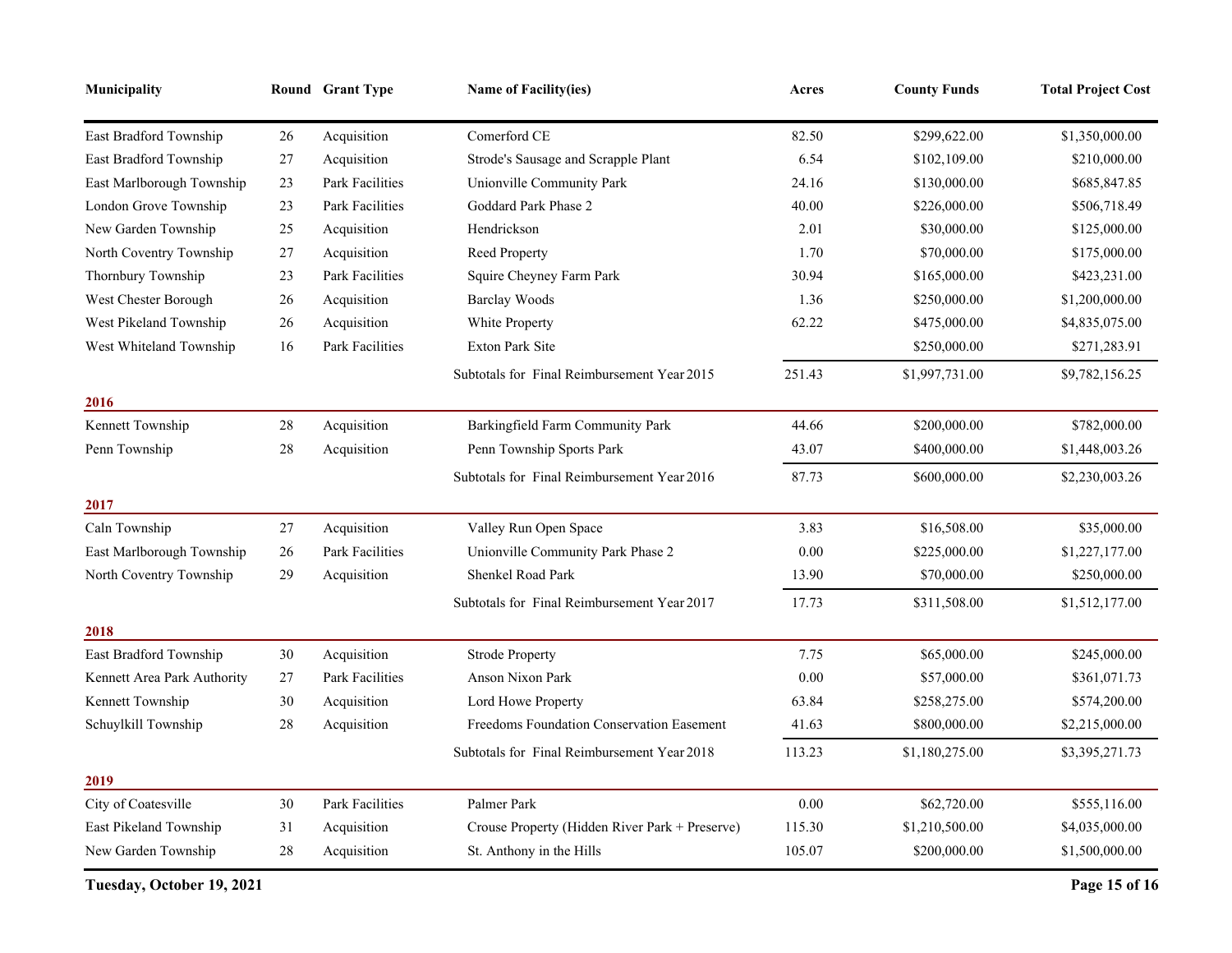| Municipality                |        | Round Grant Type       | <b>Name of Facility(ies)</b>                   | Acres    | <b>County Funds</b> | <b>Total Project Cost</b> |
|-----------------------------|--------|------------------------|------------------------------------------------|----------|---------------------|---------------------------|
| East Bradford Township      | 26     | Acquisition            | Comerford CE                                   | 82.50    | \$299,622.00        | \$1,350,000.00            |
| East Bradford Township      | 27     | Acquisition            | Strode's Sausage and Scrapple Plant            | 6.54     | \$102,109.00        | \$210,000.00              |
| East Marlborough Township   | 23     | <b>Park Facilities</b> | Unionville Community Park                      | 24.16    | \$130,000.00        | \$685,847.85              |
| London Grove Township       | 23     | Park Facilities        | Goddard Park Phase 2                           | 40.00    | \$226,000.00        | \$506,718.49              |
| New Garden Township         | 25     | Acquisition            | Hendrickson                                    | 2.01     | \$30,000.00         | \$125,000.00              |
| North Coventry Township     | 27     | Acquisition            | Reed Property                                  | 1.70     | \$70,000.00         | \$175,000.00              |
| Thornbury Township          | 23     | <b>Park Facilities</b> | Squire Cheyney Farm Park                       | 30.94    | \$165,000.00        | \$423,231.00              |
| West Chester Borough        | 26     | Acquisition            | <b>Barclay Woods</b>                           | 1.36     | \$250,000.00        | \$1,200,000.00            |
| West Pikeland Township      | $26\,$ | Acquisition            | White Property                                 | 62.22    | \$475,000.00        | \$4,835,075.00            |
| West Whiteland Township     | 16     | Park Facilities        | <b>Exton Park Site</b>                         |          | \$250,000.00        | \$271,283.91              |
|                             |        |                        | Subtotals for Final Reimbursement Year 2015    | 251.43   | \$1,997,731.00      | \$9,782,156.25            |
| 2016                        |        |                        |                                                |          |                     |                           |
| Kennett Township            | $28\,$ | Acquisition            | Barkingfield Farm Community Park               | 44.66    | \$200,000.00        | \$782,000.00              |
| Penn Township               | $28\,$ | Acquisition            | Penn Township Sports Park                      | 43.07    | \$400,000.00        | \$1,448,003.26            |
|                             |        |                        | Subtotals for Final Reimbursement Year 2016    | 87.73    | \$600,000.00        | \$2,230,003.26            |
| 2017                        |        |                        |                                                |          |                     |                           |
| Caln Township               | 27     | Acquisition            | Valley Run Open Space                          | 3.83     | \$16,508.00         | \$35,000.00               |
| East Marlborough Township   | $26\,$ | Park Facilities        | Unionville Community Park Phase 2              | 0.00     | \$225,000.00        | \$1,227,177.00            |
| North Coventry Township     | 29     | Acquisition            | Shenkel Road Park                              | 13.90    | \$70,000.00         | \$250,000.00              |
|                             |        |                        | Subtotals for Final Reimbursement Year 2017    | 17.73    | \$311,508.00        | \$1,512,177.00            |
| 2018                        |        |                        |                                                |          |                     |                           |
| East Bradford Township      | 30     | Acquisition            | <b>Strode Property</b>                         | 7.75     | \$65,000.00         | \$245,000.00              |
| Kennett Area Park Authority | 27     | Park Facilities        | Anson Nixon Park                               | $0.00\,$ | \$57,000.00         | \$361,071.73              |
| Kennett Township            | 30     | Acquisition            | Lord Howe Property                             | 63.84    | \$258,275.00        | \$574,200.00              |
| Schuylkill Township         | 28     | Acquisition            | Freedoms Foundation Conservation Easement      | 41.63    | \$800,000.00        | \$2,215,000.00            |
|                             |        |                        | Subtotals for Final Reimbursement Year 2018    | 113.23   | \$1,180,275.00      | \$3,395,271.73            |
| 2019                        |        |                        |                                                |          |                     |                           |
| City of Coatesville         | 30     | <b>Park Facilities</b> | Palmer Park                                    | $0.00\,$ | \$62,720.00         | \$555,116.00              |
| East Pikeland Township      | 31     | Acquisition            | Crouse Property (Hidden River Park + Preserve) | 115.30   | \$1,210,500.00      | \$4,035,000.00            |
| New Garden Township         | 28     | Acquisition            | St. Anthony in the Hills                       | 105.07   | \$200,000.00        | \$1,500,000.00            |

**Tuesday, October 19, 2021 Page 15 of 16**